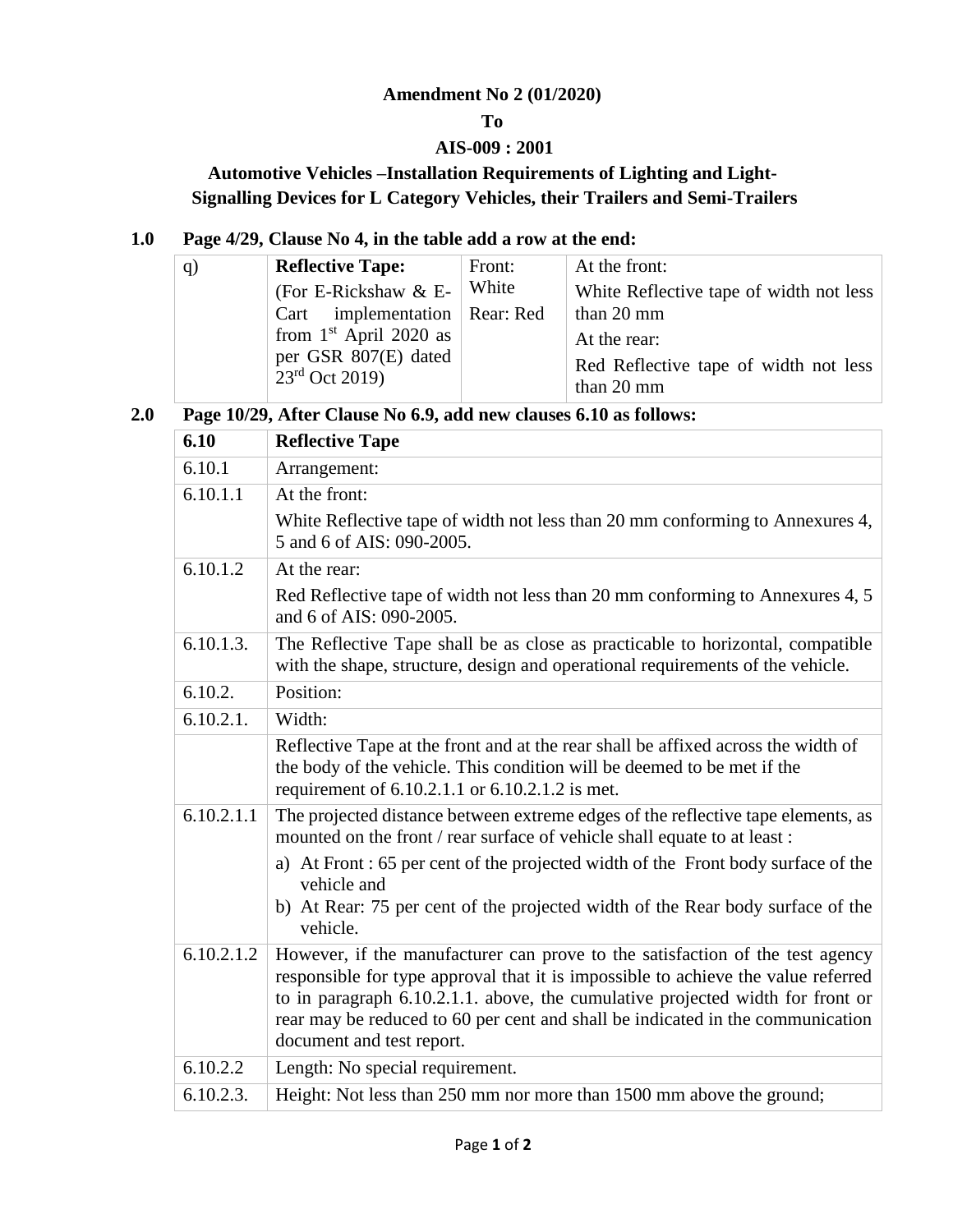# **Amendment No 2 (01/2020)**

## **To**

## **AIS-009 : 2001**

# **Automotive Vehicles –Installation Requirements of Lighting and Light-Signalling Devices for L Category Vehicles, their Trailers and Semi-Trailers**

## **1.0 Page 4/29, Clause No 4, in the table add a row at the end:**

| (q) | <b>Reflective Tape:</b>                  | Front: | At the front:                                       |
|-----|------------------------------------------|--------|-----------------------------------------------------|
|     | (For E-Rickshaw $&E-$                    | White  | White Reflective tape of width not less             |
|     | Cart implementation   Rear: Red          |        | than 20 mm                                          |
|     | from $1st$ April 2020 as                 |        | At the rear:                                        |
|     | per GSR 807(E) dated<br>$23rd$ Oct 2019) |        | Red Reflective tape of width not less<br>than 20 mm |

## **2.0 Page 10/29, After Clause No 6.9, add new clauses 6.10 as follows:**

| 6.10       | <b>Reflective Tape</b>                                                                                                                                                                                                                                                                                                                                              |
|------------|---------------------------------------------------------------------------------------------------------------------------------------------------------------------------------------------------------------------------------------------------------------------------------------------------------------------------------------------------------------------|
| 6.10.1     | Arrangement:                                                                                                                                                                                                                                                                                                                                                        |
| 6.10.1.1   | At the front:                                                                                                                                                                                                                                                                                                                                                       |
|            | White Reflective tape of width not less than 20 mm conforming to Annexures 4,<br>5 and 6 of AIS: 090-2005.                                                                                                                                                                                                                                                          |
| 6.10.1.2   | At the rear:                                                                                                                                                                                                                                                                                                                                                        |
|            | Red Reflective tape of width not less than 20 mm conforming to Annexures 4, 5<br>and 6 of AIS: 090-2005.                                                                                                                                                                                                                                                            |
| 6.10.1.3.  | The Reflective Tape shall be as close as practicable to horizontal, compatible<br>with the shape, structure, design and operational requirements of the vehicle.                                                                                                                                                                                                    |
| 6.10.2.    | Position:                                                                                                                                                                                                                                                                                                                                                           |
| 6.10.2.1.  | Width:                                                                                                                                                                                                                                                                                                                                                              |
|            | Reflective Tape at the front and at the rear shall be affixed across the width of<br>the body of the vehicle. This condition will be deemed to be met if the<br>requirement of 6.10.2.1.1 or 6.10.2.1.2 is met.                                                                                                                                                     |
| 6.10.2.1.1 | The projected distance between extreme edges of the reflective tape elements, as<br>mounted on the front / rear surface of vehicle shall equate to at least :                                                                                                                                                                                                       |
|            | a) At Front: 65 per cent of the projected width of the Front body surface of the<br>vehicle and                                                                                                                                                                                                                                                                     |
|            | b) At Rear: 75 per cent of the projected width of the Rear body surface of the<br>vehicle.                                                                                                                                                                                                                                                                          |
| 6.10.2.1.2 | However, if the manufacturer can prove to the satisfaction of the test agency<br>responsible for type approval that it is impossible to achieve the value referred<br>to in paragraph 6.10.2.1.1. above, the cumulative projected width for front or<br>rear may be reduced to 60 per cent and shall be indicated in the communication<br>document and test report. |
| 6.10.2.2   | Length: No special requirement.                                                                                                                                                                                                                                                                                                                                     |
| 6.10.2.3.  | Height: Not less than 250 mm nor more than 1500 mm above the ground;                                                                                                                                                                                                                                                                                                |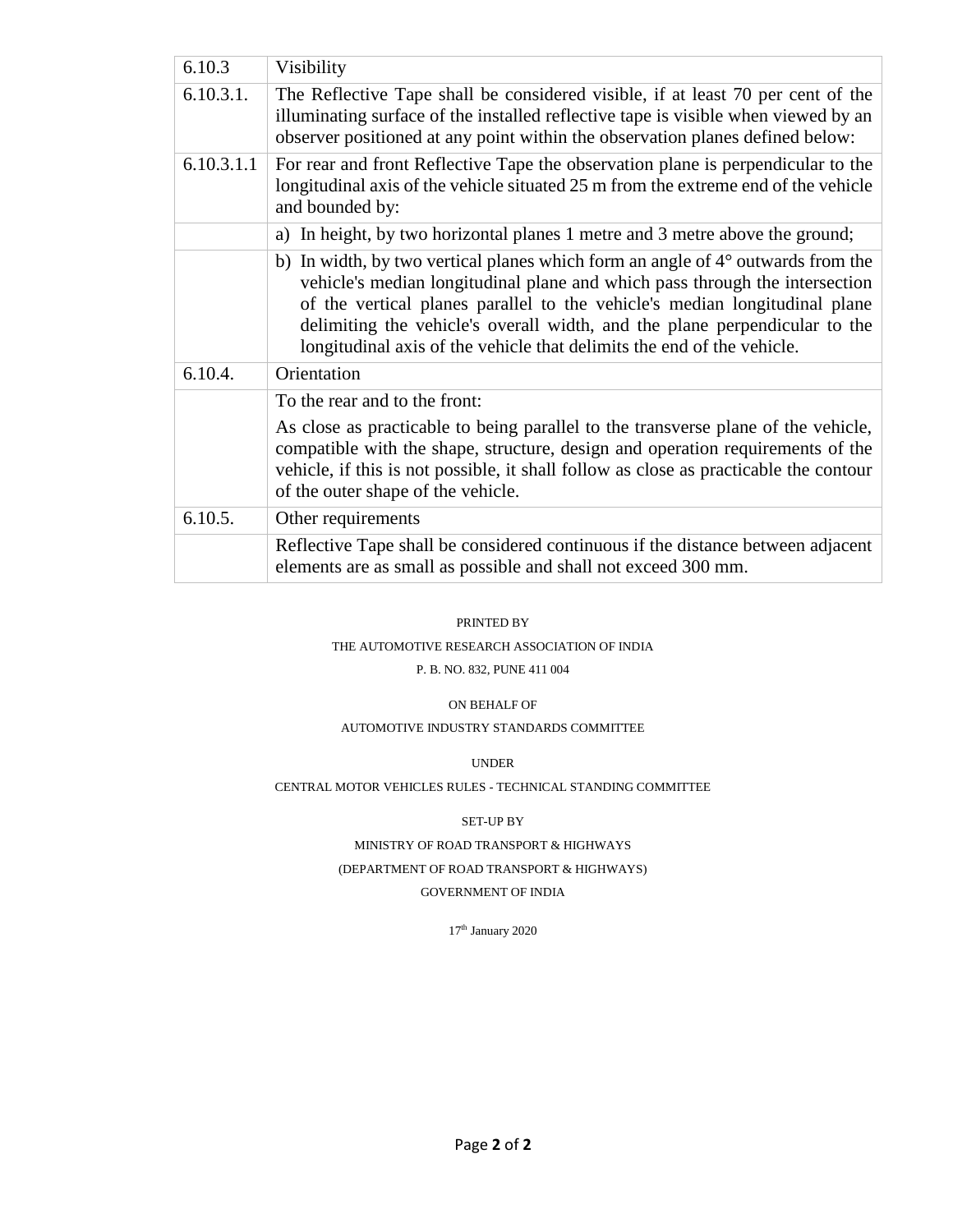| 6.10.3     | Visibility                                                                                                                                                                                                                                                                                                                                                                                                    |
|------------|---------------------------------------------------------------------------------------------------------------------------------------------------------------------------------------------------------------------------------------------------------------------------------------------------------------------------------------------------------------------------------------------------------------|
| 6.10.3.1.  | The Reflective Tape shall be considered visible, if at least 70 per cent of the<br>illuminating surface of the installed reflective tape is visible when viewed by an<br>observer positioned at any point within the observation planes defined below:                                                                                                                                                        |
| 6.10.3.1.1 | For rear and front Reflective Tape the observation plane is perpendicular to the<br>longitudinal axis of the vehicle situated 25 m from the extreme end of the vehicle<br>and bounded by:                                                                                                                                                                                                                     |
|            | a) In height, by two horizontal planes 1 metre and 3 metre above the ground;                                                                                                                                                                                                                                                                                                                                  |
|            | b) In width, by two vertical planes which form an angle of $4^{\circ}$ outwards from the<br>vehicle's median longitudinal plane and which pass through the intersection<br>of the vertical planes parallel to the vehicle's median longitudinal plane<br>delimiting the vehicle's overall width, and the plane perpendicular to the<br>longitudinal axis of the vehicle that delimits the end of the vehicle. |
| 6.10.4.    | Orientation                                                                                                                                                                                                                                                                                                                                                                                                   |
|            | To the rear and to the front:<br>As close as practicable to being parallel to the transverse plane of the vehicle,<br>compatible with the shape, structure, design and operation requirements of the<br>vehicle, if this is not possible, it shall follow as close as practicable the contour<br>of the outer shape of the vehicle.                                                                           |
| 6.10.5.    | Other requirements                                                                                                                                                                                                                                                                                                                                                                                            |
|            | Reflective Tape shall be considered continuous if the distance between adjacent<br>elements are as small as possible and shall not exceed 300 mm.                                                                                                                                                                                                                                                             |

#### PRINTED BY

#### THE AUTOMOTIVE RESEARCH ASSOCIATION OF INDIA

P. B. NO. 832, PUNE 411 004

#### ON BEHALF OF

#### AUTOMOTIVE INDUSTRY STANDARDS COMMITTEE

UNDER

#### CENTRAL MOTOR VEHICLES RULES - TECHNICAL STANDING COMMITTEE

#### SET-UP BY

#### MINISTRY OF ROAD TRANSPORT & HIGHWAYS

#### (DEPARTMENT OF ROAD TRANSPORT & HIGHWAYS)

#### GOVERNMENT OF INDIA

 $17^{\rm th}$ January 2020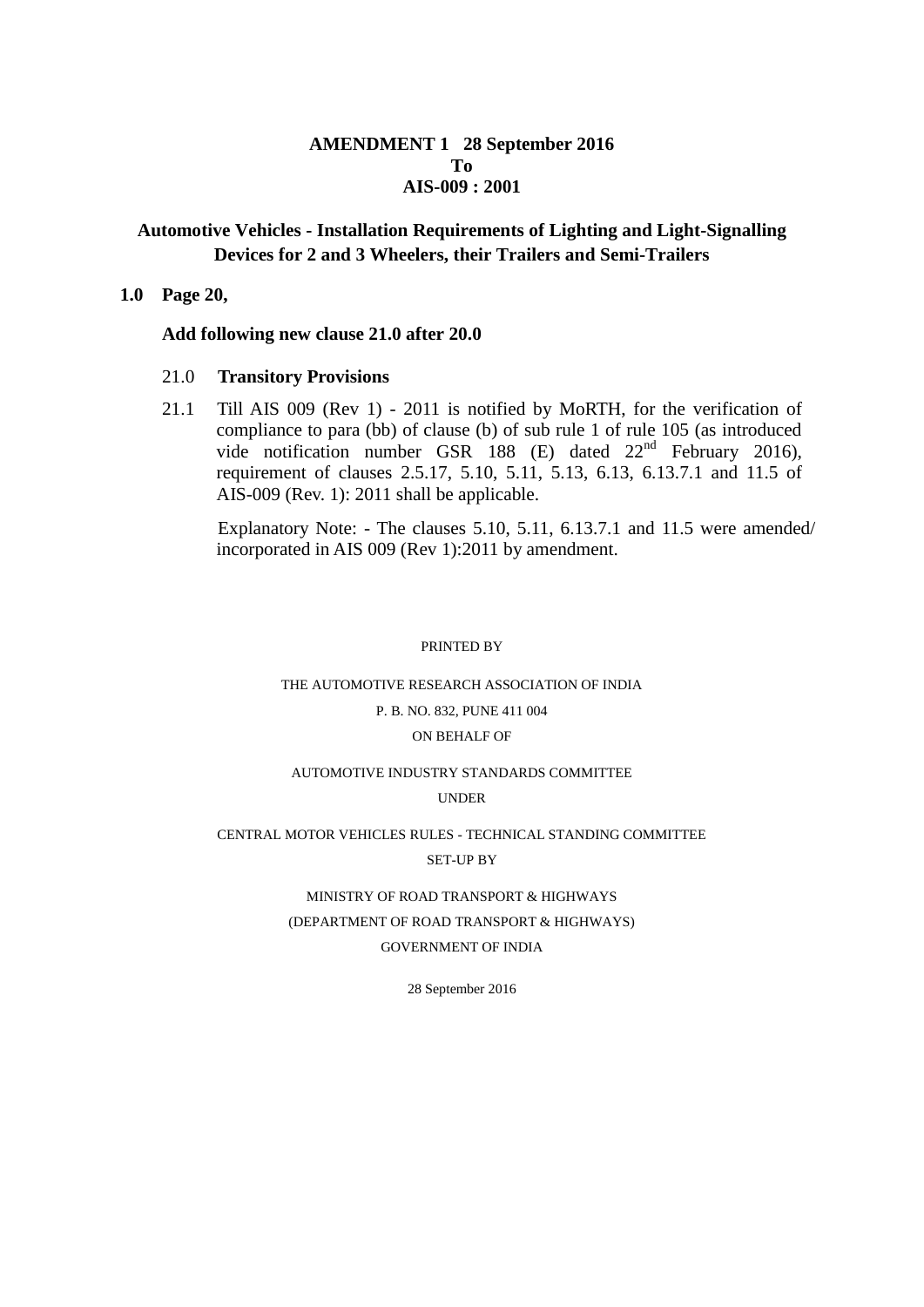## **AMENDMENT 1 28 September 2016 To AIS-009 : 2001**

## **Automotive Vehicles - Installation Requirements of Lighting and Light-Signalling Devices for 2 and 3 Wheelers, their Trailers and Semi-Trailers**

#### **1.0 Page 20,**

#### **Add following new clause 21.0 after 20.0**

#### 21.0 **Transitory Provisions**

21.1 Till AIS 009 (Rev 1) - 2011 is notified by MoRTH, for the verification of compliance to para (bb) of clause (b) of sub rule 1 of rule 105 (as introduced vide notification number GSR 188 (E) dated 22<sup>nd</sup> February 2016), requirement of clauses 2.5.17, 5.10, 5.11, 5.13, 6.13, 6.13.7.1 and 11.5 of AIS-009 (Rev. 1): 2011 shall be applicable.

 Explanatory Note: - The clauses 5.10, 5.11, 6.13.7.1 and 11.5 were amended/ incorporated in AIS 009 (Rev 1):2011 by amendment.

#### PRINTED BY

# THE AUTOMOTIVE RESEARCH ASSOCIATION OF INDIA P. B. NO. 832, PUNE 411 004 ON BEHALF OF

#### AUTOMOTIVE INDUSTRY STANDARDS COMMITTEE

#### UNDER

#### CENTRAL MOTOR VEHICLES RULES - TECHNICAL STANDING COMMITTEE SET-UP BY

#### MINISTRY OF ROAD TRANSPORT & HIGHWAYS

## (DEPARTMENT OF ROAD TRANSPORT & HIGHWAYS)

#### GOVERNMENT OF INDIA

28 September 2016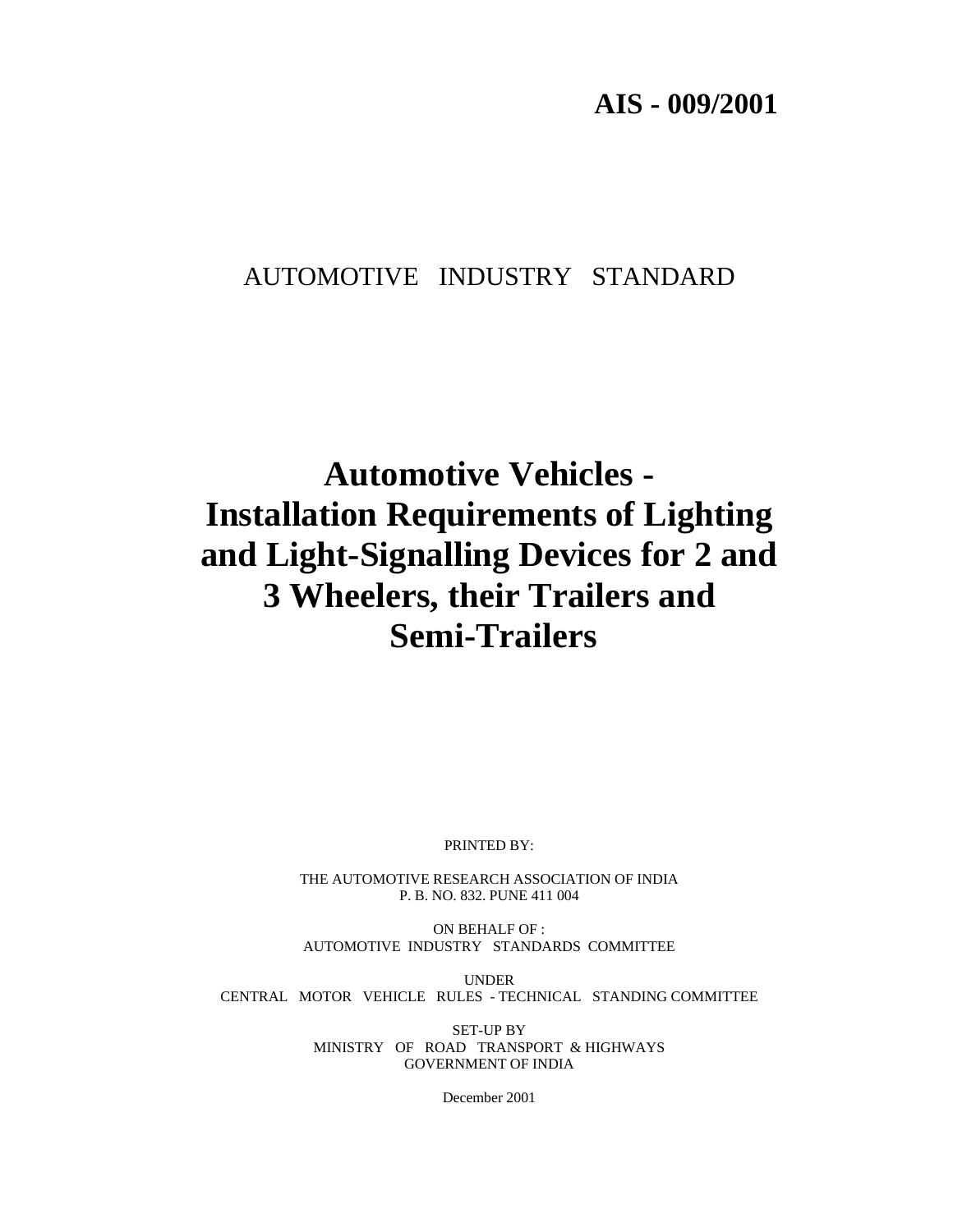**AIS - 009/2001** 

# AUTOMOTIVE INDUSTRY STANDARD

# **Automotive Vehicles - Installation Requirements of Lighting and Light-Signalling Devices for 2 and 3 Wheelers, their Trailers and Semi-Trailers**

PRINTED BY:

THE AUTOMOTIVE RESEARCH ASSOCIATION OF INDIA P. B. NO. 832. PUNE 411 004

ON BEHALF OF : AUTOMOTIVE INDUSTRY STANDARDS COMMITTEE

UNDER CENTRAL MOTOR VEHICLE RULES - TECHNICAL STANDING COMMITTEE

> SET-UP BY MINISTRY OF ROAD TRANSPORT & HIGHWAYS GOVERNMENT OF INDIA

> > December 2001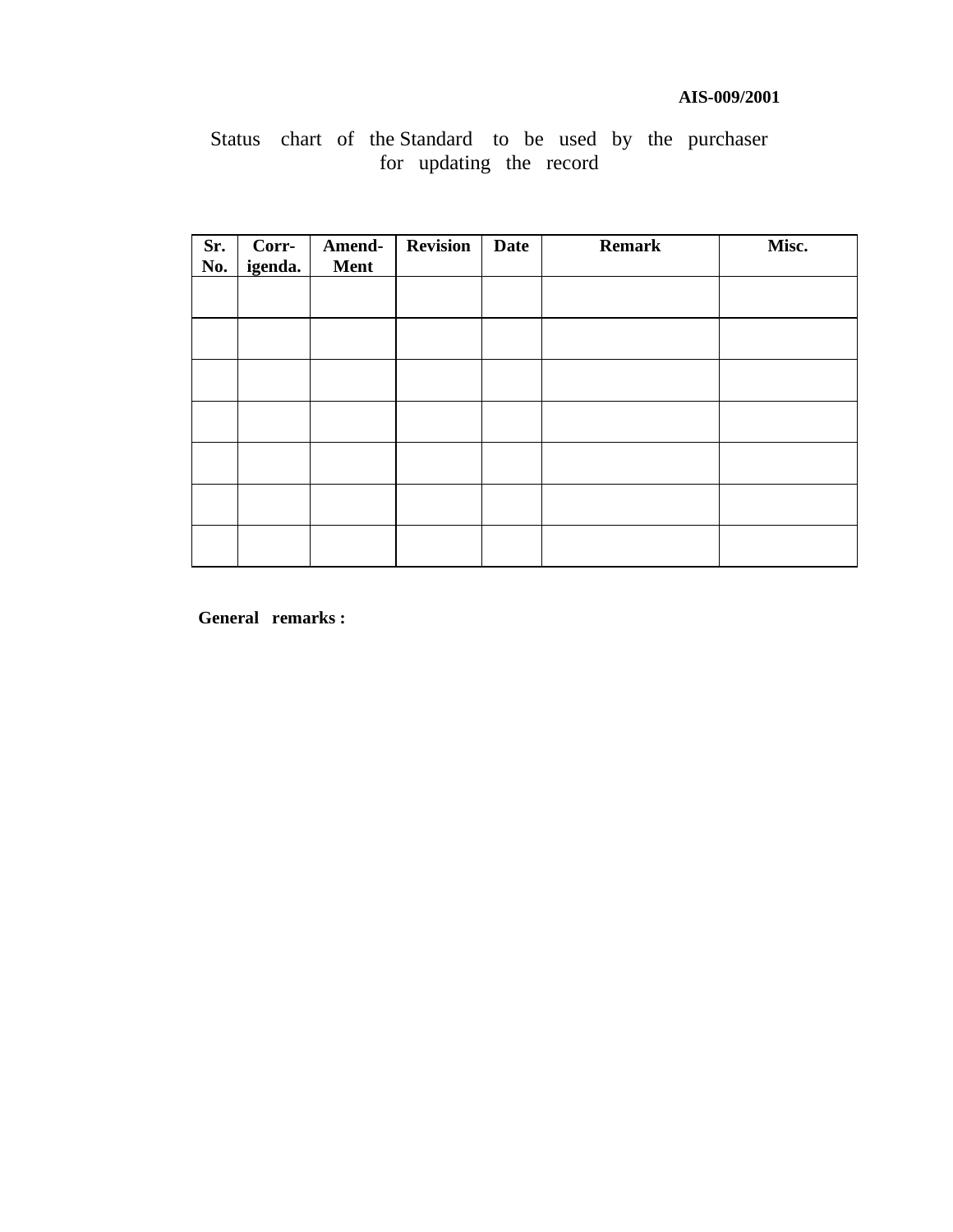## **AIS-009/2001**

# Status chart of the Standard to be used by the purchaser for updating the record

| Sr.<br>No. | Corr-<br>igenda. | Amend-<br>Ment | <b>Revision</b> | <b>Date</b> | <b>Remark</b> | Misc. |
|------------|------------------|----------------|-----------------|-------------|---------------|-------|
|            |                  |                |                 |             |               |       |
|            |                  |                |                 |             |               |       |
|            |                  |                |                 |             |               |       |
|            |                  |                |                 |             |               |       |
|            |                  |                |                 |             |               |       |
|            |                  |                |                 |             |               |       |
|            |                  |                |                 |             |               |       |

**General remarks :**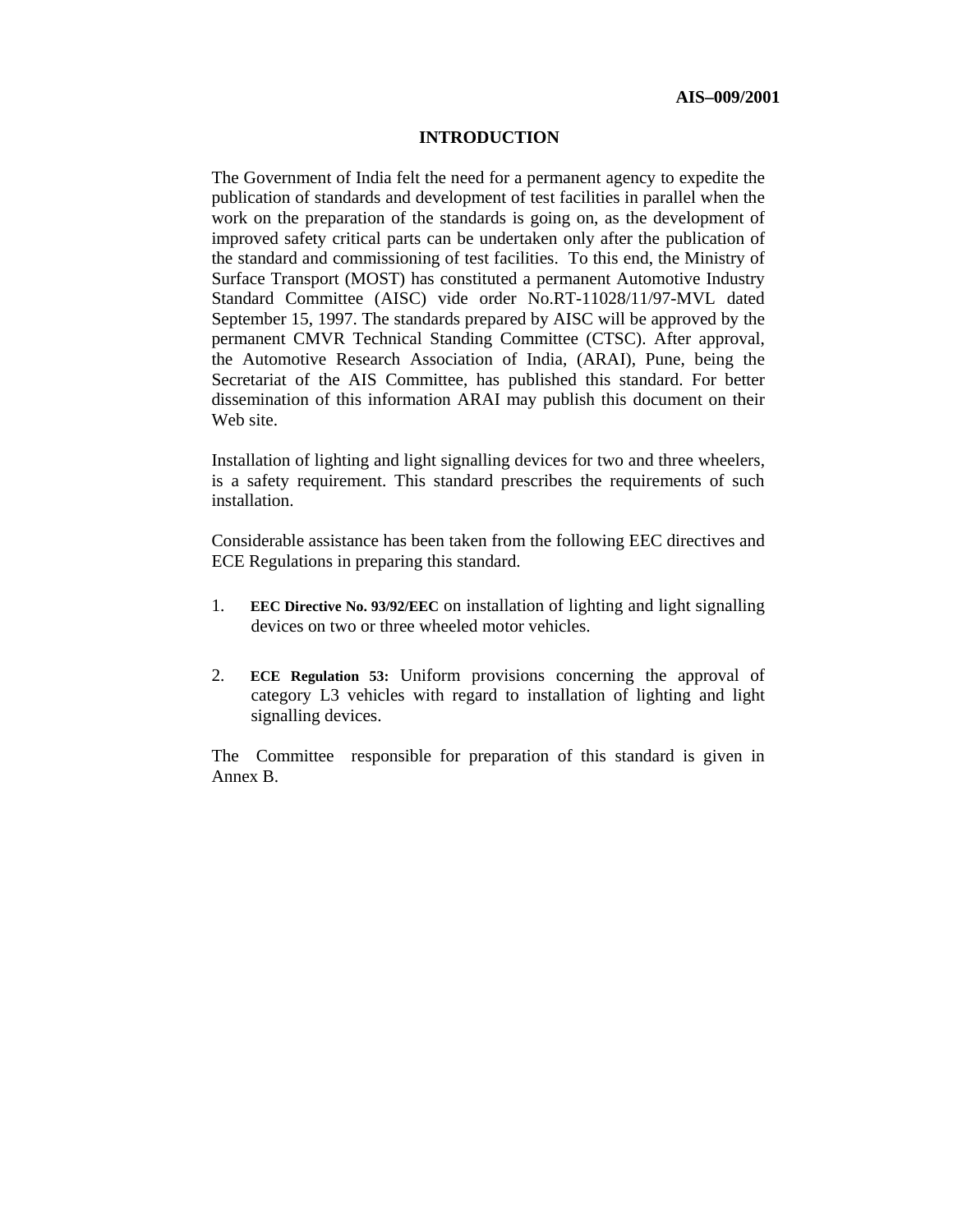#### **INTRODUCTION**

The Government of India felt the need for a permanent agency to expedite the publication of standards and development of test facilities in parallel when the work on the preparation of the standards is going on, as the development of improved safety critical parts can be undertaken only after the publication of the standard and commissioning of test facilities. To this end, the Ministry of Surface Transport (MOST) has constituted a permanent Automotive Industry Standard Committee (AISC) vide order No.RT-11028/11/97-MVL dated September 15, 1997. The standards prepared by AISC will be approved by the permanent CMVR Technical Standing Committee (CTSC). After approval, the Automotive Research Association of India, (ARAI), Pune, being the Secretariat of the AIS Committee, has published this standard. For better dissemination of this information ARAI may publish this document on their Web site.

Installation of lighting and light signalling devices for two and three wheelers, is a safety requirement. This standard prescribes the requirements of such installation.

Considerable assistance has been taken from the following EEC directives and ECE Regulations in preparing this standard.

- 1. **EEC Directive No. 93/92/EEC** on installation of lighting and light signalling devices on two or three wheeled motor vehicles.
- 2. **ECE Regulation 53:** Uniform provisions concerning the approval of category L3 vehicles with regard to installation of lighting and light signalling devices.

The Committee responsible for preparation of this standard is given in Annex B.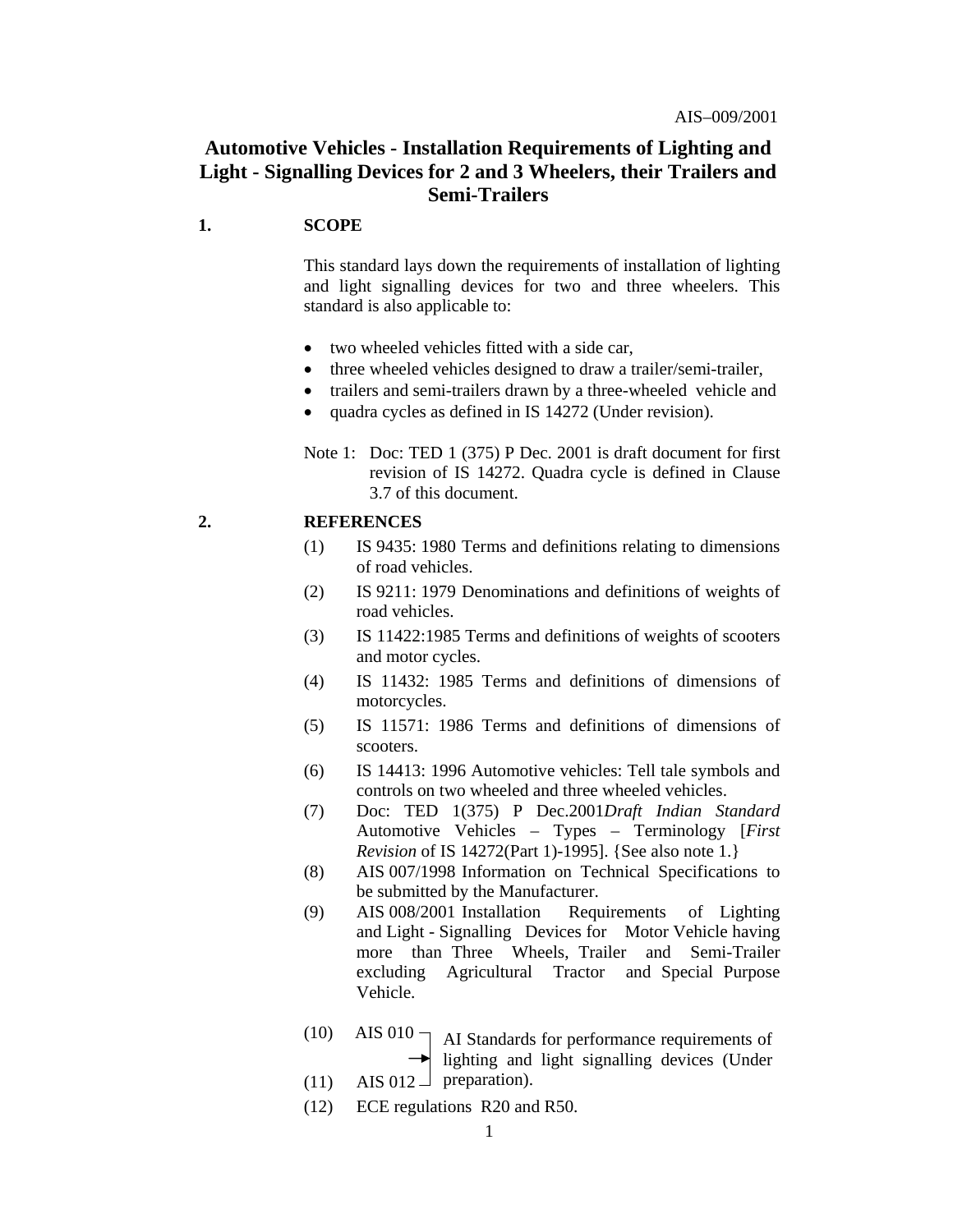## **Automotive Vehicles - Installation Requirements of Lighting and Light - Signalling Devices for 2 and 3 Wheelers, their Trailers and Semi-Trailers**

#### **1. SCOPE**

 This standard lays down the requirements of installation of lighting and light signalling devices for two and three wheelers. This standard is also applicable to:

- two wheeled vehicles fitted with a side car,
- three wheeled vehicles designed to draw a trailer/semi-trailer,
- trailers and semi-trailers drawn by a three-wheeled vehicle and
- quadra cycles as defined in IS 14272 (Under revision).

Note 1: Doc: TED 1 (375) P Dec. 2001 is draft document for first revision of IS 14272. Quadra cycle is defined in Clause 3.7 of this document.

#### **2. REFERENCES**

- (1) IS 9435: 1980 Terms and definitions relating to dimensions of road vehicles.
- (2) IS 9211: 1979 Denominations and definitions of weights of road vehicles.
- (3) IS 11422:1985 Terms and definitions of weights of scooters and motor cycles.
- (4) IS 11432: 1985 Terms and definitions of dimensions of motorcycles.
- (5) IS 11571: 1986 Terms and definitions of dimensions of scooters.
- (6) IS 14413: 1996 Automotive vehicles: Tell tale symbols and controls on two wheeled and three wheeled vehicles.
- (7) Doc: TED 1(375) P Dec.2001*Draft Indian Standard* Automotive Vehicles – Types – Terminology [*First Revision* of IS 14272(Part 1)-1995]. {See also note 1.}
- (8) AIS 007/1998 Information on Technical Specifications to be submitted by the Manufacturer.
- (9) AIS 008/2001 Installation Requirements of Lighting and Light - Signalling Devices for Motor Vehicle having more than Three Wheels, Trailer and Semi-Trailer excluding Agricultural Tractor and Special Purpose Vehicle.
- $(10)$  AIS 010  $\neg$ AI Standards for performance requirements of lighting and light signalling devices (Under
- (11) AIS 012  $\perp$  preparation).
- (12) ECE regulations R20 and R50.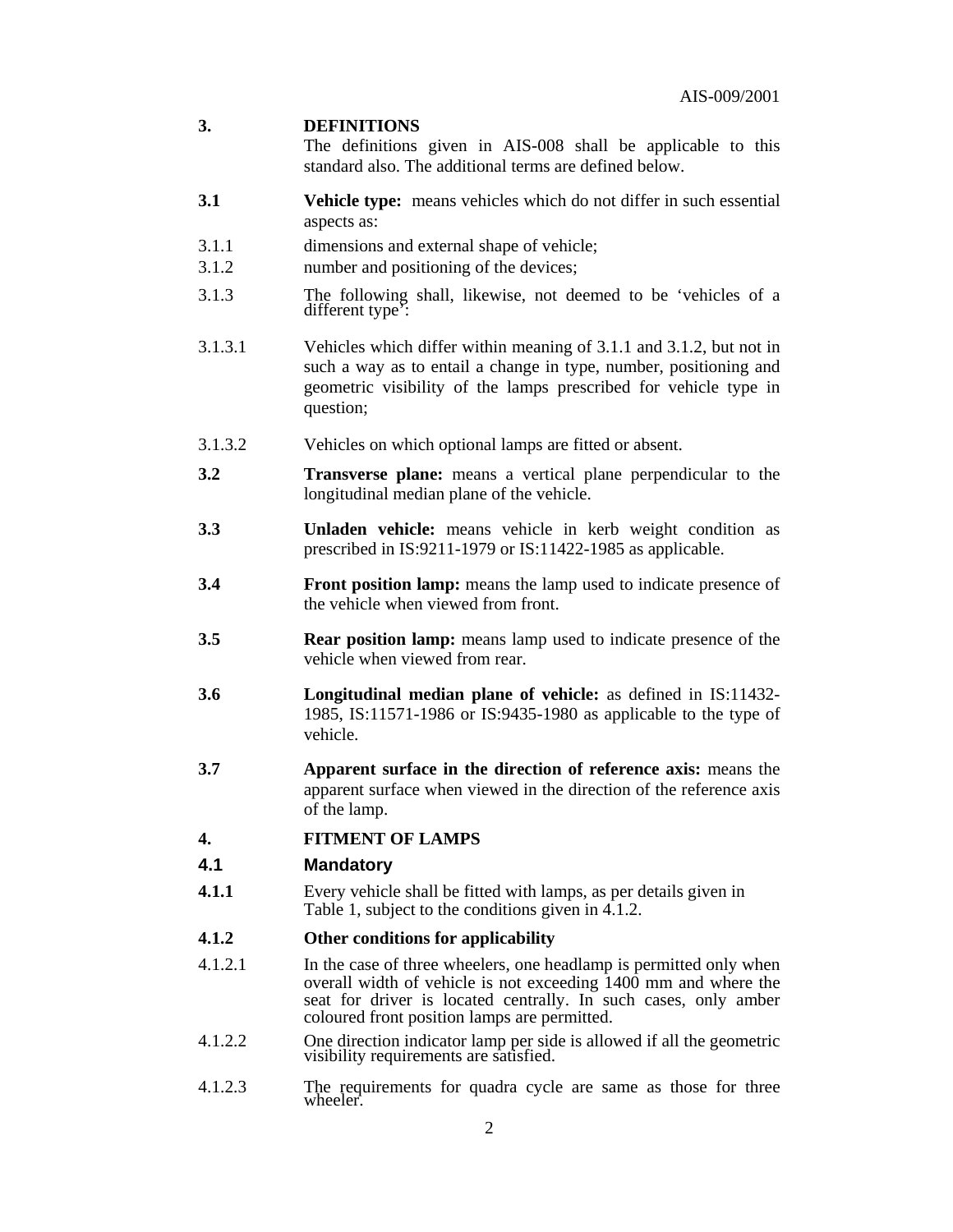#### **3. DEFINITIONS**

 The definitions given in AIS-008 shall be applicable to this standard also. The additional terms are defined below.

- **3.1 Vehicle type:** means vehicles which do not differ in such essential aspects as:
- 3.1.1 dimensions and external shape of vehicle;
- 3.1.2 number and positioning of the devices;
- 3.1.3 The following shall, likewise, not deemed to be 'vehicles of a different type':
- 3.1.3.1 Vehicles which differ within meaning of 3.1.1 and 3.1.2, but not in such a way as to entail a change in type, number, positioning and geometric visibility of the lamps prescribed for vehicle type in question;
- 3.1.3.2 Vehicles on which optional lamps are fitted or absent.
- **3.2 Transverse plane:** means a vertical plane perpendicular to the longitudinal median plane of the vehicle.
- **3.3 Unladen vehicle:** means vehicle in kerb weight condition as prescribed in IS:9211-1979 or IS:11422-1985 as applicable.
- **3.4 Front position lamp:** means the lamp used to indicate presence of the vehicle when viewed from front.
- **3.5 Rear position lamp:** means lamp used to indicate presence of the vehicle when viewed from rear.
- **3.6 Longitudinal median plane of vehicle:** as defined in IS:11432- 1985, IS:11571-1986 or IS:9435-1980 as applicable to the type of vehicle.
- **3.7 Apparent surface in the direction of reference axis:** means the apparent surface when viewed in the direction of the reference axis of the lamp.
- **4. FITMENT OF LAMPS**

#### **4.1 Mandatory**

**4.1.1** Every vehicle shall be fitted with lamps, as per details given in Table 1, subject to the conditions given in 4.1.2.

#### **4.1.2 Other conditions for applicability**

- 4.1.2.1In the case of three wheelers, one headlamp is permitted only when overall width of vehicle is not exceeding 1400 mm and where the seat for driver is located centrally. In such cases, only amber coloured front position lamps are permitted.
- 4.1.2.2One direction indicator lamp per side is allowed if all the geometric visibility requirements are satisfied.
- 4.1.2.3The requirements for quadra cycle are same as those for three wheeler.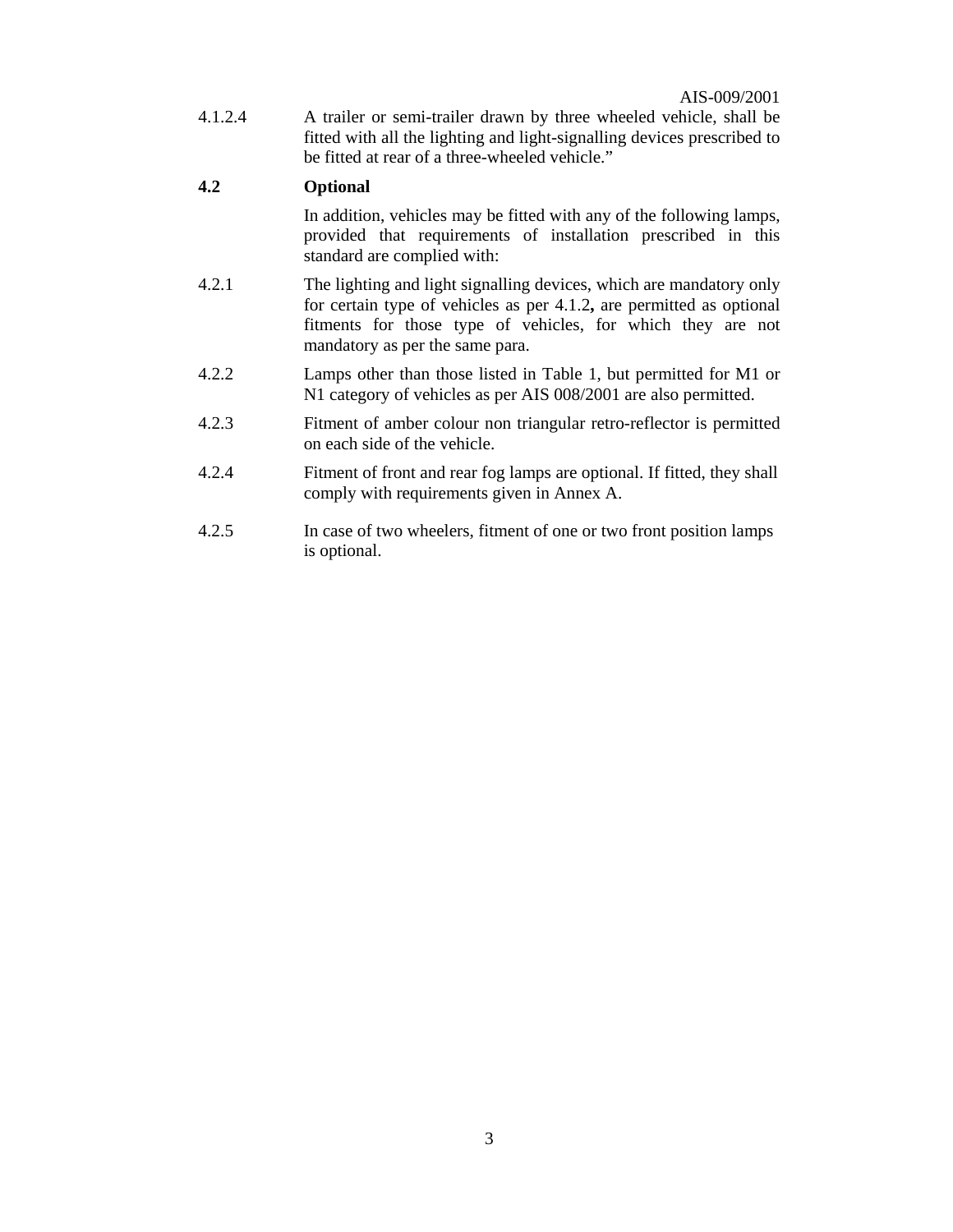4.1.2.4A trailer or semi-trailer drawn by three wheeled vehicle, shall be fitted with all the lighting and light-signalling devices prescribed to be fitted at rear of a three-wheeled vehicle."

## **4.2 Optional**

In addition, vehicles may be fitted with any of the following lamps, provided that requirements of installation prescribed in this standard are complied with:

- 4.2.1The lighting and light signalling devices, which are mandatory only for certain type of vehicles as per 4.1.2**,** are permitted as optional fitments for those type of vehicles, for which they are not mandatory as per the same para.
- 4.2.2Lamps other than those listed in Table 1, but permitted for M1 or N1 category of vehicles as per AIS 008/2001 are also permitted.
- 4.2.3Fitment of amber colour non triangular retro-reflector is permitted on each side of the vehicle.
- 4.2.4 Fitment of front and rear fog lamps are optional. If fitted, they shall comply with requirements given in Annex A.
- 4.2.5 In case of two wheelers, fitment of one or two front position lamps is optional.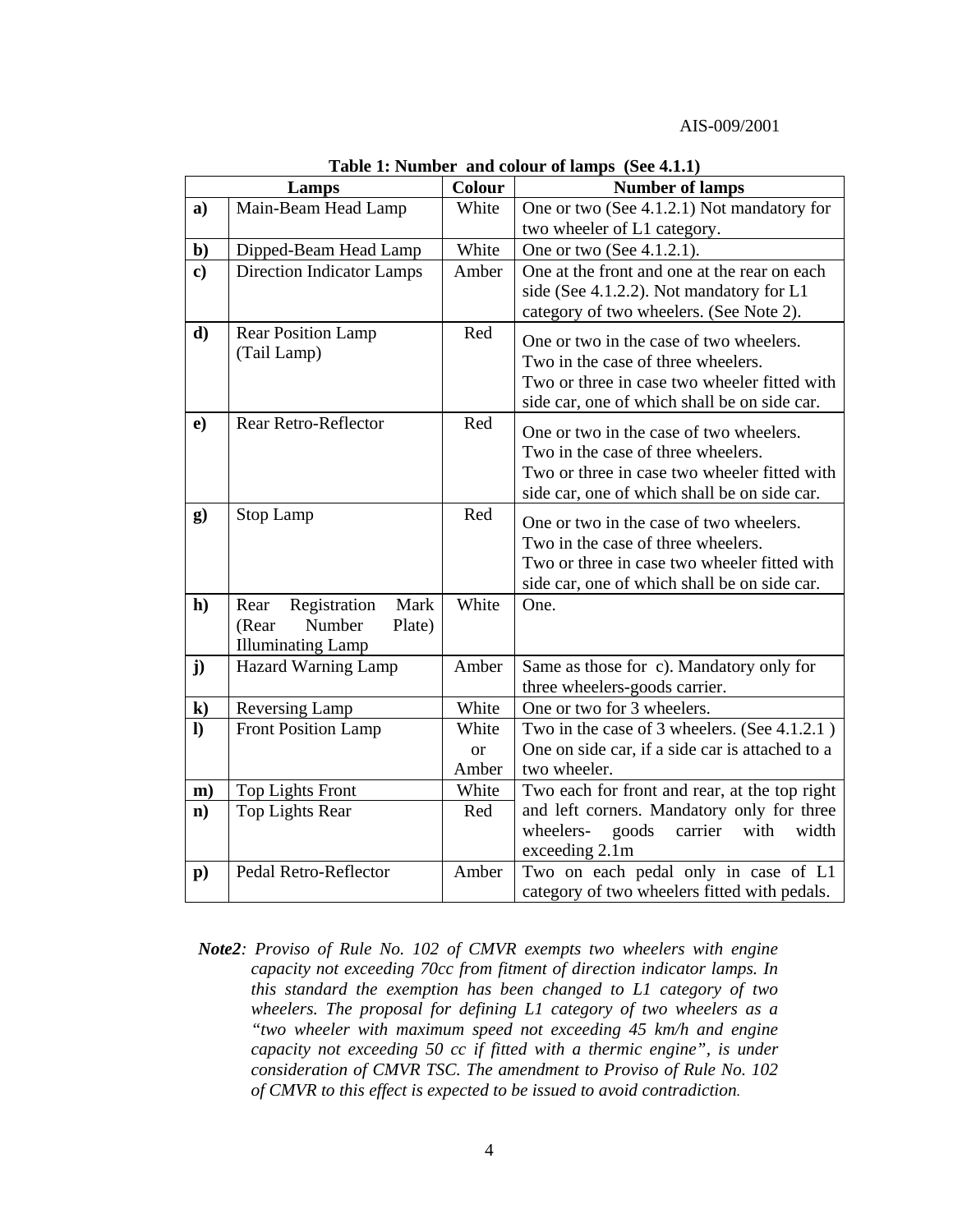#### AIS-009/2001

|                | Lamps                            | Colour | <b>Number of lamps</b>                          |
|----------------|----------------------------------|--------|-------------------------------------------------|
| a)             | Main-Beam Head Lamp              | White  | One or two (See 4.1.2.1) Not mandatory for      |
|                |                                  |        | two wheeler of L1 category.                     |
| $\mathbf{b}$   | Dipped-Beam Head Lamp            | White  | One or two (See 4.1.2.1).                       |
| $\bf c)$       | <b>Direction Indicator Lamps</b> | Amber  | One at the front and one at the rear on each    |
|                |                                  |        | side (See 4.1.2.2). Not mandatory for L1        |
|                |                                  |        | category of two wheelers. (See Note 2).         |
| d)             | <b>Rear Position Lamp</b>        | Red    | One or two in the case of two wheelers.         |
|                | (Tail Lamp)                      |        | Two in the case of three wheelers.              |
|                |                                  |        | Two or three in case two wheeler fitted with    |
|                |                                  |        | side car, one of which shall be on side car.    |
| e)             | Rear Retro-Reflector             | Red    | One or two in the case of two wheelers.         |
|                |                                  |        | Two in the case of three wheelers.              |
|                |                                  |        | Two or three in case two wheeler fitted with    |
|                |                                  |        | side car, one of which shall be on side car.    |
| $\bf{g})$      | Stop Lamp                        | Red    | One or two in the case of two wheelers.         |
|                |                                  |        | Two in the case of three wheelers.              |
|                |                                  |        | Two or three in case two wheeler fitted with    |
|                |                                  |        | side car, one of which shall be on side car.    |
| h)             | Mark<br>Rear<br>Registration     | White  | One.                                            |
|                | Number<br>Plate)<br>(Rear        |        |                                                 |
|                | <b>Illuminating Lamp</b>         |        |                                                 |
| j)             | Hazard Warning Lamp              | Amber  | Same as those for c). Mandatory only for        |
|                |                                  |        | three wheelers-goods carrier.                   |
| $\bf k)$       | Reversing Lamp                   | White  | One or two for 3 wheelers.                      |
| $\bf{I}$       | <b>Front Position Lamp</b>       | White  | Two in the case of 3 wheelers. (See 4.1.2.1)    |
|                |                                  | or     | One on side car, if a side car is attached to a |
|                |                                  | Amber  | two wheeler.                                    |
| $\mathbf{m}$ ) | <b>Top Lights Front</b>          | White  | Two each for front and rear, at the top right   |
| $\mathbf{n}$ ) | <b>Top Lights Rear</b>           | Red    | and left corners. Mandatory only for three      |
|                |                                  |        | carrier<br>wheelers-<br>goods<br>with<br>width  |
|                |                                  |        | exceeding 2.1m                                  |
| $\mathbf{p}$ ) | Pedal Retro-Reflector            | Amber  | Two on each pedal only in case of L1            |
|                |                                  |        | category of two wheelers fitted with pedals.    |

**Table 1: Number and colour of lamps (See 4.1.1)** 

*Note2: Proviso of Rule No. 102 of CMVR exempts two wheelers with engine capacity not exceeding 70cc from fitment of direction indicator lamps. In this standard the exemption has been changed to L1 category of two wheelers. The proposal for defining L1 category of two wheelers as a "two wheeler with maximum speed not exceeding 45 km/h and engine capacity not exceeding 50 cc if fitted with a thermic engine", is under consideration of CMVR TSC. The amendment to Proviso of Rule No. 102 of CMVR to this effect is expected to be issued to avoid contradiction.*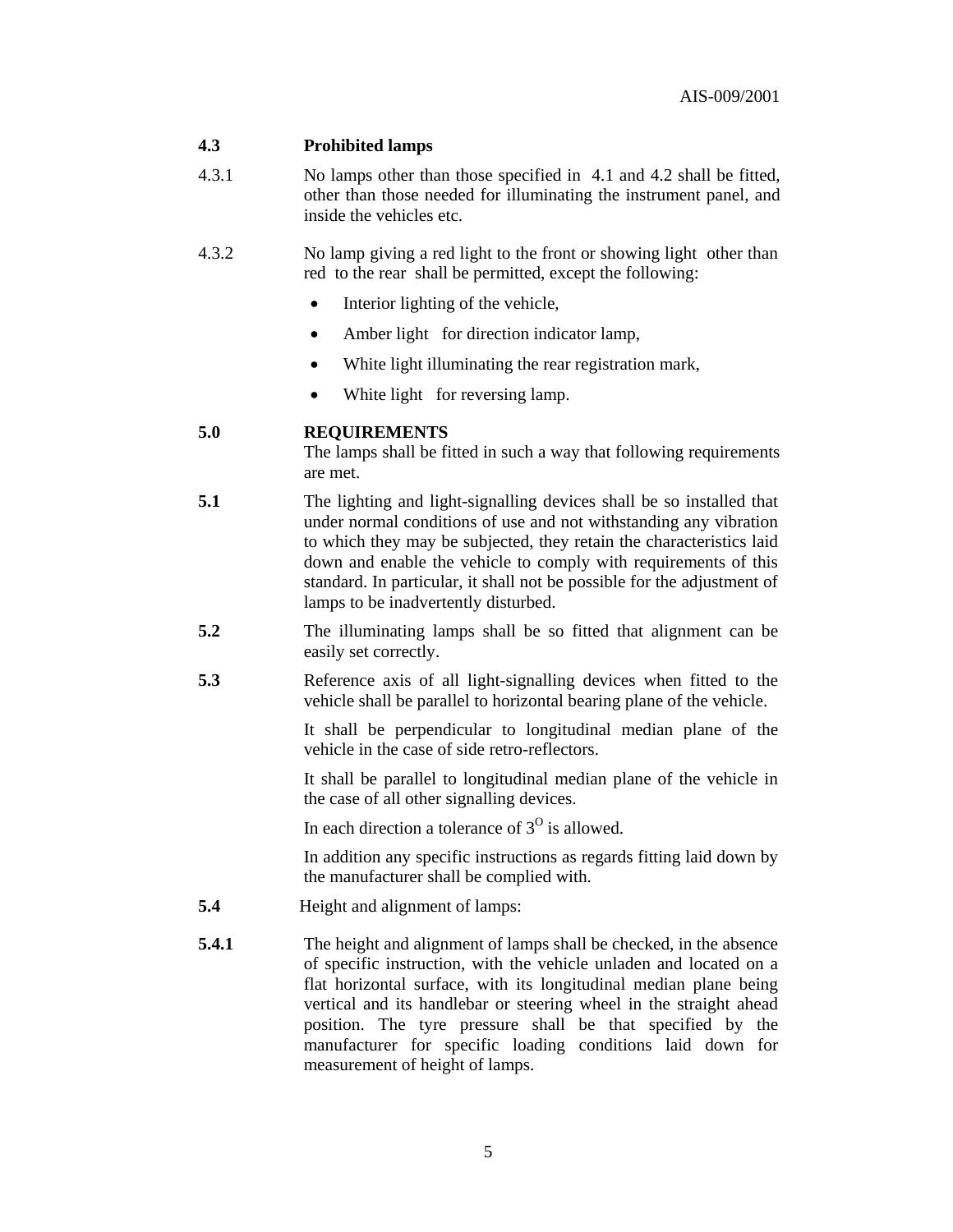## **4.3 Prohibited lamps**

- 4.3.1 No lamps other than those specified in 4.1 and 4.2 shall be fitted, other than those needed for illuminating the instrument panel, and inside the vehicles etc.
- 4.3.2No lamp giving a red light to the front or showing light other than red to the rear shall be permitted, except the following:
	- $\bullet$  Interior lighting of the vehicle,
	- Amber light for direction indicator lamp,
	- White light illuminating the rear registration mark,
	- White light for reversing lamp.

#### **5.0 REQUIREMENTS**

The lamps shall be fitted in such a way that following requirements are met.

- **5.1** The lighting and light-signalling devices shall be so installed that under normal conditions of use and not withstanding any vibration to which they may be subjected, they retain the characteristics laid down and enable the vehicle to comply with requirements of this standard. In particular, it shall not be possible for the adjustment of lamps to be inadvertently disturbed.
- **5.2** The illuminating lamps shall be so fitted that alignment can be easily set correctly.
- **5.3** Reference axis of all light-signalling devices when fitted to the vehicle shall be parallel to horizontal bearing plane of the vehicle.

 It shall be perpendicular to longitudinal median plane of the vehicle in the case of side retro-reflectors.

 It shall be parallel to longitudinal median plane of the vehicle in the case of all other signalling devices.

In each direction a tolerance of  $3<sup>0</sup>$  is allowed.

 In addition any specific instructions as regards fitting laid down by the manufacturer shall be complied with.

- **5.4** Height and alignment of lamps:
- **5.4.1** The height and alignment of lamps shall be checked, in the absence of specific instruction, with the vehicle unladen and located on a flat horizontal surface, with its longitudinal median plane being vertical and its handlebar or steering wheel in the straight ahead position. The tyre pressure shall be that specified by the manufacturer for specific loading conditions laid down for measurement of height of lamps.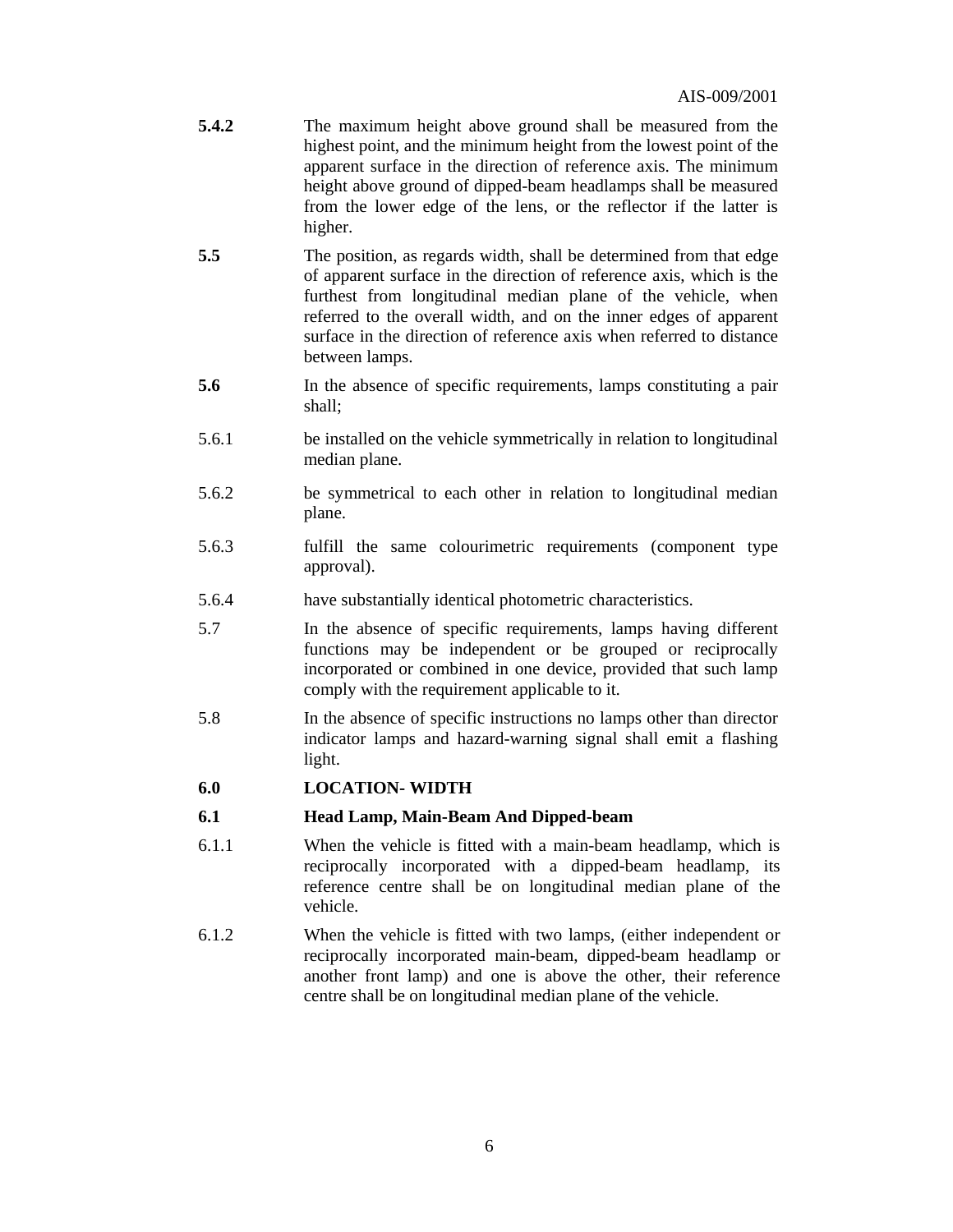- **5.4.2** The maximum height above ground shall be measured from the highest point, and the minimum height from the lowest point of the apparent surface in the direction of reference axis. The minimum height above ground of dipped-beam headlamps shall be measured from the lower edge of the lens, or the reflector if the latter is higher.
- **5.5** The position, as regards width, shall be determined from that edge of apparent surface in the direction of reference axis, which is the furthest from longitudinal median plane of the vehicle, when referred to the overall width, and on the inner edges of apparent surface in the direction of reference axis when referred to distance between lamps.
- **5.6** In the absence of specific requirements, lamps constituting a pair shall;
- 5.6.1be installed on the vehicle symmetrically in relation to longitudinal median plane.
- 5.6.2be symmetrical to each other in relation to longitudinal median plane.
- 5.6.3fulfill the same colourimetric requirements (component type approval).
- 5.6.4have substantially identical photometric characteristics.
- 5.7In the absence of specific requirements, lamps having different functions may be independent or be grouped or reciprocally incorporated or combined in one device, provided that such lamp comply with the requirement applicable to it.
- 5.8In the absence of specific instructions no lamps other than director indicator lamps and hazard-warning signal shall emit a flashing light.

#### **6.0 LOCATION- WIDTH**

#### **6.1 Head Lamp, Main-Beam And Dipped-beam**

- 6.1.1 When the vehicle is fitted with a main-beam headlamp, which is reciprocally incorporated with a dipped-beam headlamp, its reference centre shall be on longitudinal median plane of the vehicle.
- 6.1.2 When the vehicle is fitted with two lamps, (either independent or reciprocally incorporated main-beam, dipped-beam headlamp or another front lamp) and one is above the other, their reference centre shall be on longitudinal median plane of the vehicle.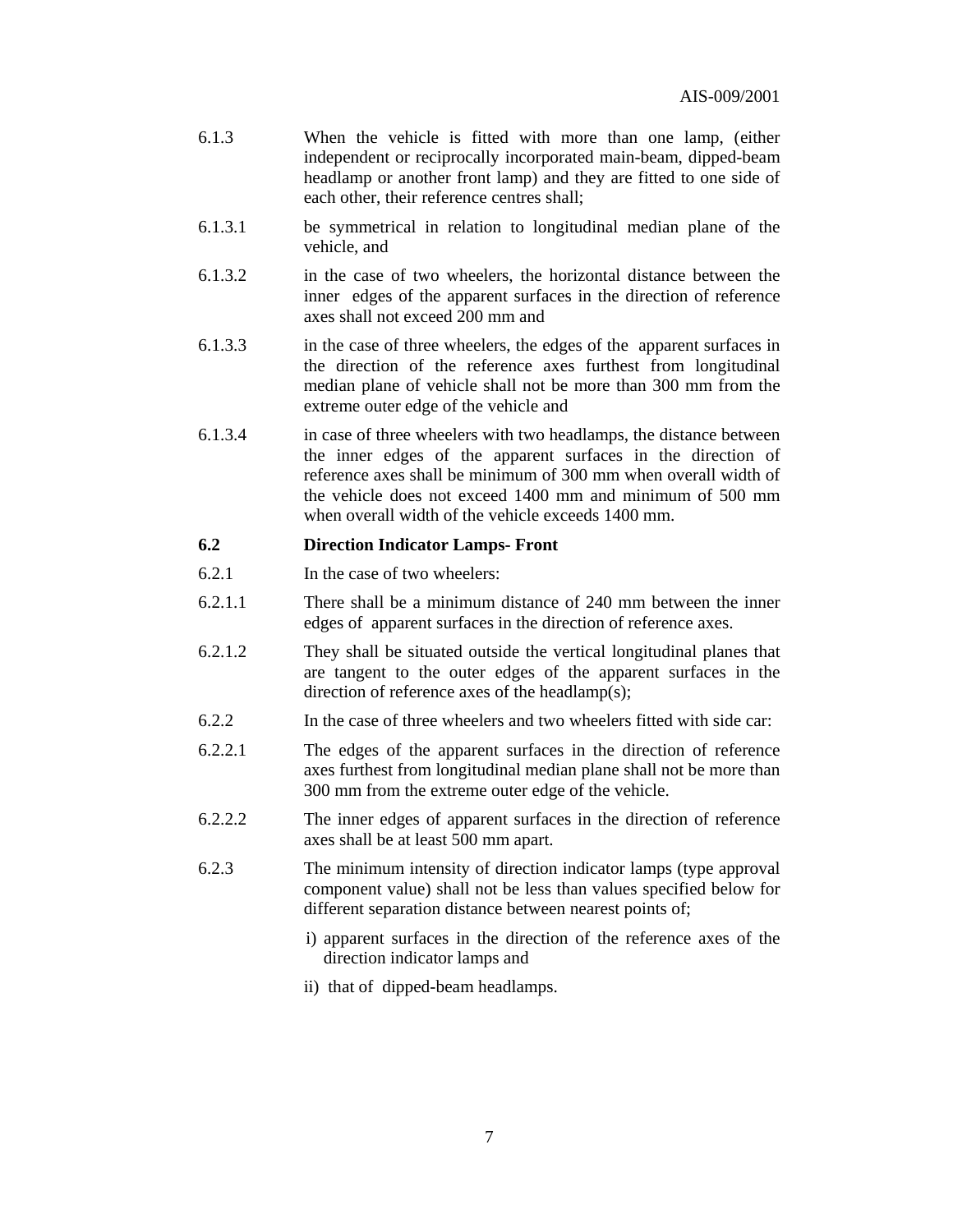- 6.1.3 When the vehicle is fitted with more than one lamp, (either independent or reciprocally incorporated main-beam, dipped-beam headlamp or another front lamp) and they are fitted to one side of each other, their reference centres shall;
- 6.1.3.1 be symmetrical in relation to longitudinal median plane of the vehicle, and
- 6.1.3.2 in the case of two wheelers, the horizontal distance between the inner edges of the apparent surfaces in the direction of reference axes shall not exceed 200 mm and
- 6.1.3.3 in the case of three wheelers, the edges of the apparent surfaces in the direction of the reference axes furthest from longitudinal median plane of vehicle shall not be more than 300 mm from the extreme outer edge of the vehicle and
- 6.1.3.4 in case of three wheelers with two headlamps, the distance between the inner edges of the apparent surfaces in the direction of reference axes shall be minimum of 300 mm when overall width of the vehicle does not exceed 1400 mm and minimum of 500 mm when overall width of the vehicle exceeds 1400 mm.

#### **6.2 Direction Indicator Lamps- Front**

- 6.2.1 In the case of two wheelers:
- 6.2.1.1 There shall be a minimum distance of 240 mm between the inner edges of apparent surfaces in the direction of reference axes.
- 6.2.1.2 They shall be situated outside the vertical longitudinal planes that are tangent to the outer edges of the apparent surfaces in the direction of reference axes of the headlamp(s);
- 6.2.2 In the case of three wheelers and two wheelers fitted with side car:
- 6.2.2.1 The edges of the apparent surfaces in the direction of reference axes furthest from longitudinal median plane shall not be more than 300 mm from the extreme outer edge of the vehicle.
- 6.2.2.2 The inner edges of apparent surfaces in the direction of reference axes shall be at least 500 mm apart.
- 6.2.3 The minimum intensity of direction indicator lamps (type approval component value) shall not be less than values specified below for different separation distance between nearest points of;
	- i) apparent surfaces in the direction of the reference axes of the direction indicator lamps and
	- ii) that of dipped-beam headlamps.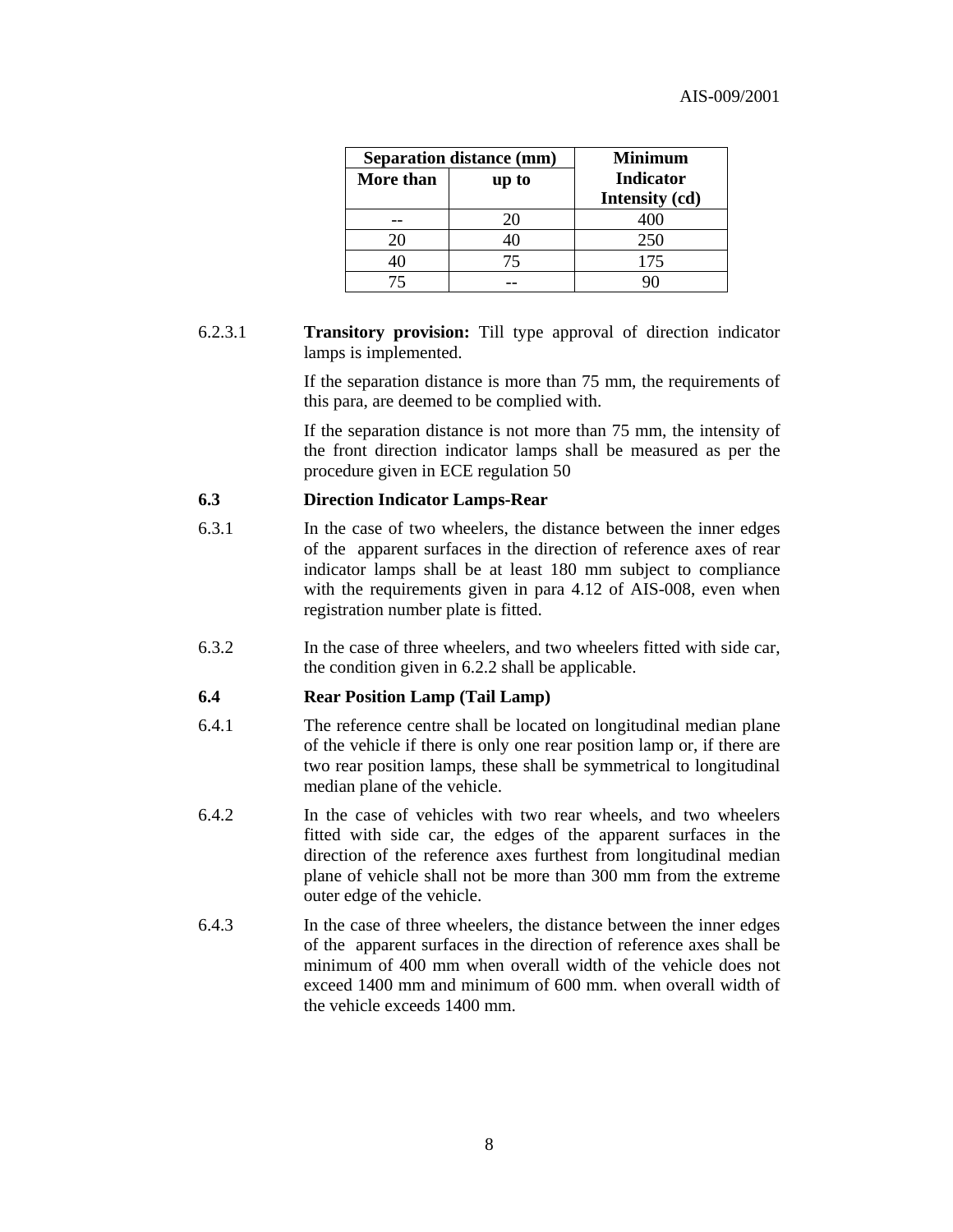|           | <b>Separation distance (mm)</b> | <b>Minimum</b>                     |
|-----------|---------------------------------|------------------------------------|
| More than | up to                           | <b>Indicator</b><br>Intensity (cd) |
|           |                                 |                                    |
| 20        |                                 | 250                                |
|           | 75                              | 175                                |
|           |                                 |                                    |

#### 6.2.3.1 **Transitory provision:** Till type approval of direction indicator lamps is implemented.

 If the separation distance is more than 75 mm, the requirements of this para, are deemed to be complied with.

 If the separation distance is not more than 75 mm, the intensity of the front direction indicator lamps shall be measured as per the procedure given in ECE regulation 50

#### **6.3 Direction Indicator Lamps-Rear**

- 6.3.1 In the case of two wheelers, the distance between the inner edges of the apparent surfaces in the direction of reference axes of rear indicator lamps shall be at least 180 mm subject to compliance with the requirements given in para 4.12 of AIS-008, even when registration number plate is fitted.
- 6.3.2 In the case of three wheelers, and two wheelers fitted with side car, the condition given in 6.2.2 shall be applicable.

#### **6.4 Rear Position Lamp (Tail Lamp)**

- 6.4.1 The reference centre shall be located on longitudinal median plane of the vehicle if there is only one rear position lamp or, if there are two rear position lamps, these shall be symmetrical to longitudinal median plane of the vehicle.
- 6.4.2 In the case of vehicles with two rear wheels, and two wheelers fitted with side car, the edges of the apparent surfaces in the direction of the reference axes furthest from longitudinal median plane of vehicle shall not be more than 300 mm from the extreme outer edge of the vehicle.
- 6.4.3 In the case of three wheelers, the distance between the inner edges of the apparent surfaces in the direction of reference axes shall be minimum of 400 mm when overall width of the vehicle does not exceed 1400 mm and minimum of 600 mm. when overall width of the vehicle exceeds 1400 mm.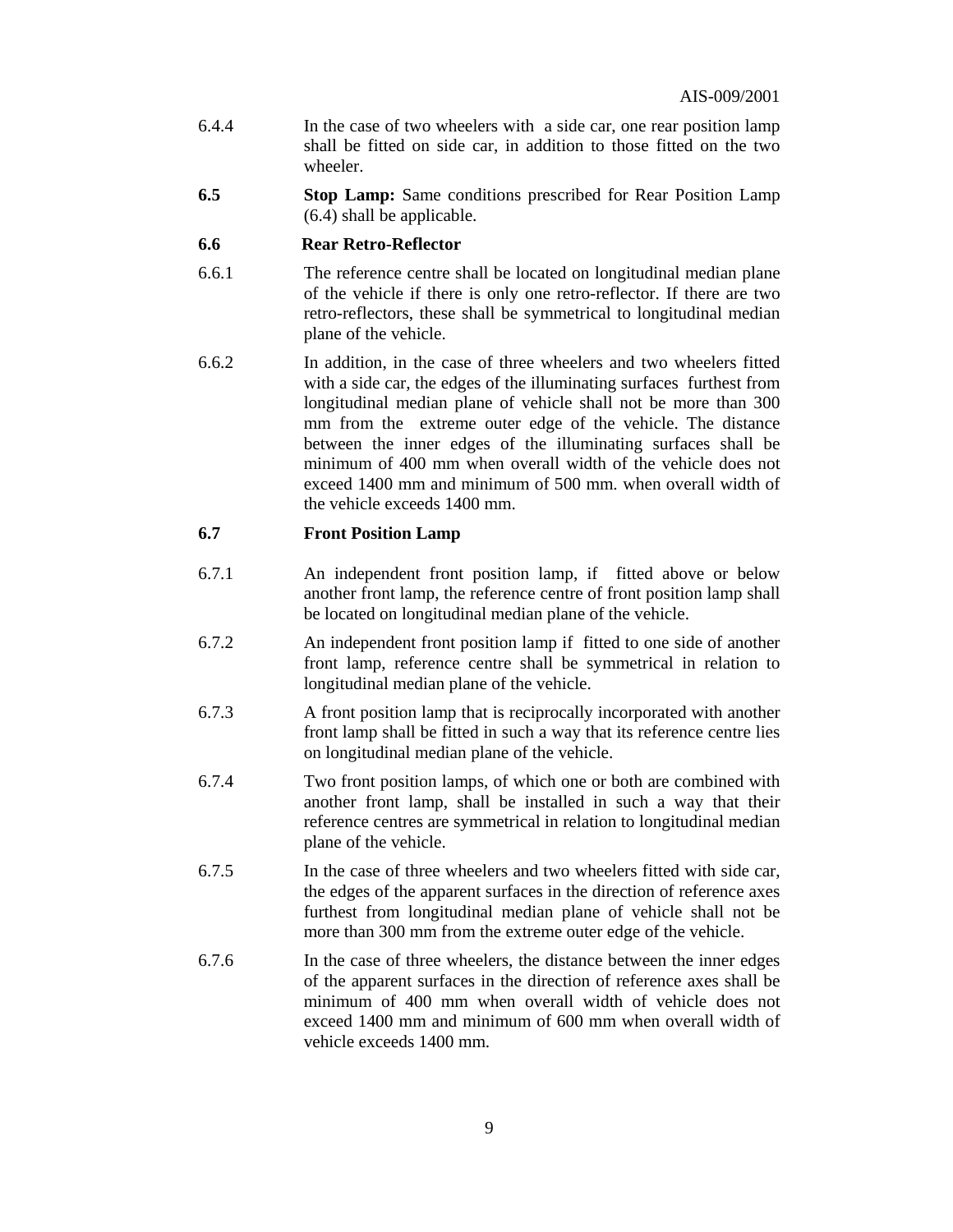- 6.4.4 In the case of two wheelers with a side car, one rear position lamp shall be fitted on side car, in addition to those fitted on the two wheeler.
- **6.5 Stop Lamp:** Same conditions prescribed for Rear Position Lamp (6.4) shall be applicable.

#### **6.6 Rear Retro-Reflector**

- 6.6.1 The reference centre shall be located on longitudinal median plane of the vehicle if there is only one retro-reflector. If there are two retro-reflectors, these shall be symmetrical to longitudinal median plane of the vehicle.
- 6.6.2 In addition, in the case of three wheelers and two wheelers fitted with a side car, the edges of the illuminating surfaces furthest from longitudinal median plane of vehicle shall not be more than 300 mm from the extreme outer edge of the vehicle. The distance between the inner edges of the illuminating surfaces shall be minimum of 400 mm when overall width of the vehicle does not exceed 1400 mm and minimum of 500 mm. when overall width of the vehicle exceeds 1400 mm.

#### **6.7 Front Position Lamp**

- 6.7.1 An independent front position lamp, if fitted above or below another front lamp, the reference centre of front position lamp shall be located on longitudinal median plane of the vehicle.
- 6.7.2 An independent front position lamp if fitted to one side of another front lamp, reference centre shall be symmetrical in relation to longitudinal median plane of the vehicle.
- 6.7.3 A front position lamp that is reciprocally incorporated with another front lamp shall be fitted in such a way that its reference centre lies on longitudinal median plane of the vehicle.
- 6.7.4 Two front position lamps, of which one or both are combined with another front lamp, shall be installed in such a way that their reference centres are symmetrical in relation to longitudinal median plane of the vehicle.
- 6.7.5 In the case of three wheelers and two wheelers fitted with side car, the edges of the apparent surfaces in the direction of reference axes furthest from longitudinal median plane of vehicle shall not be more than 300 mm from the extreme outer edge of the vehicle.
- 6.7.6 In the case of three wheelers, the distance between the inner edges of the apparent surfaces in the direction of reference axes shall be minimum of 400 mm when overall width of vehicle does not exceed 1400 mm and minimum of 600 mm when overall width of vehicle exceeds 1400 mm.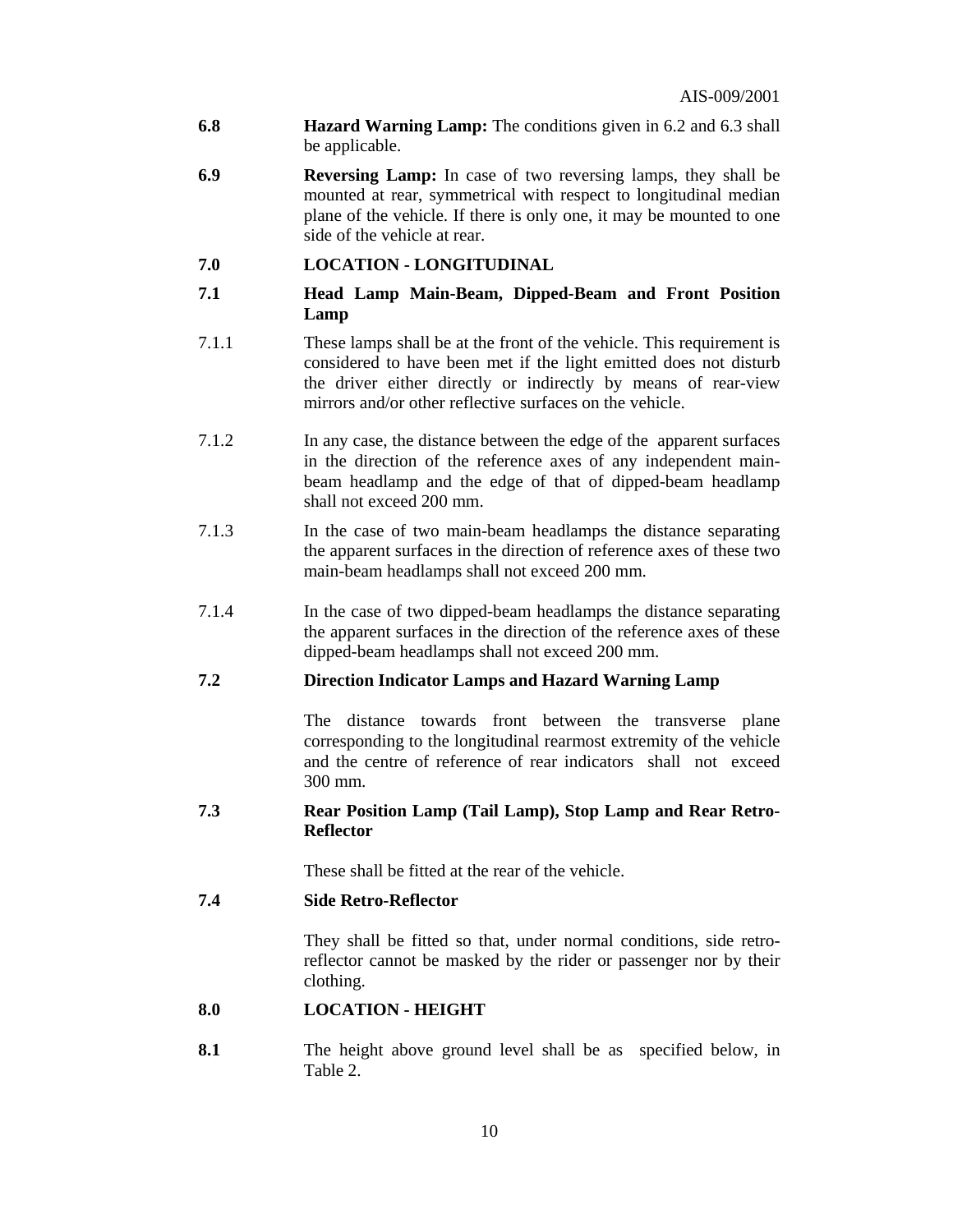- **6.8 Hazard Warning Lamp:** The conditions given in 6.2 and 6.3 shall be applicable.
- **6.9 Reversing Lamp:** In case of two reversing lamps, they shall be mounted at rear, symmetrical with respect to longitudinal median plane of the vehicle. If there is only one, it may be mounted to one side of the vehicle at rear.
- **7.0 LOCATION LONGITUDINAL**
- **7.1 Head Lamp Main-Beam, Dipped-Beam and Front Position Lamp**
- 7.1.1 These lamps shall be at the front of the vehicle. This requirement is considered to have been met if the light emitted does not disturb the driver either directly or indirectly by means of rear-view mirrors and/or other reflective surfaces on the vehicle.
- 7.1.2 In any case, the distance between the edge of the apparent surfaces in the direction of the reference axes of any independent mainbeam headlamp and the edge of that of dipped-beam headlamp shall not exceed 200 mm.
- 7.1.3 In the case of two main-beam headlamps the distance separating the apparent surfaces in the direction of reference axes of these two main-beam headlamps shall not exceed 200 mm.
- 7.1.4 In the case of two dipped-beam headlamps the distance separating the apparent surfaces in the direction of the reference axes of these dipped-beam headlamps shall not exceed 200 mm.

## **7.2 Direction Indicator Lamps and Hazard Warning Lamp**

The distance towards front between the transverse plane corresponding to the longitudinal rearmost extremity of the vehicle and the centre of reference of rear indicators shall not exceed 300 mm.

#### **7.3 Rear Position Lamp (Tail Lamp), Stop Lamp and Rear Retro-Reflector**

These shall be fitted at the rear of the vehicle.

#### **7.4 Side Retro-Reflector**

They shall be fitted so that, under normal conditions, side retroreflector cannot be masked by the rider or passenger nor by their clothing.

#### **8.0 LOCATION - HEIGHT**

**8.1** The height above ground level shall be as specified below, in Table 2.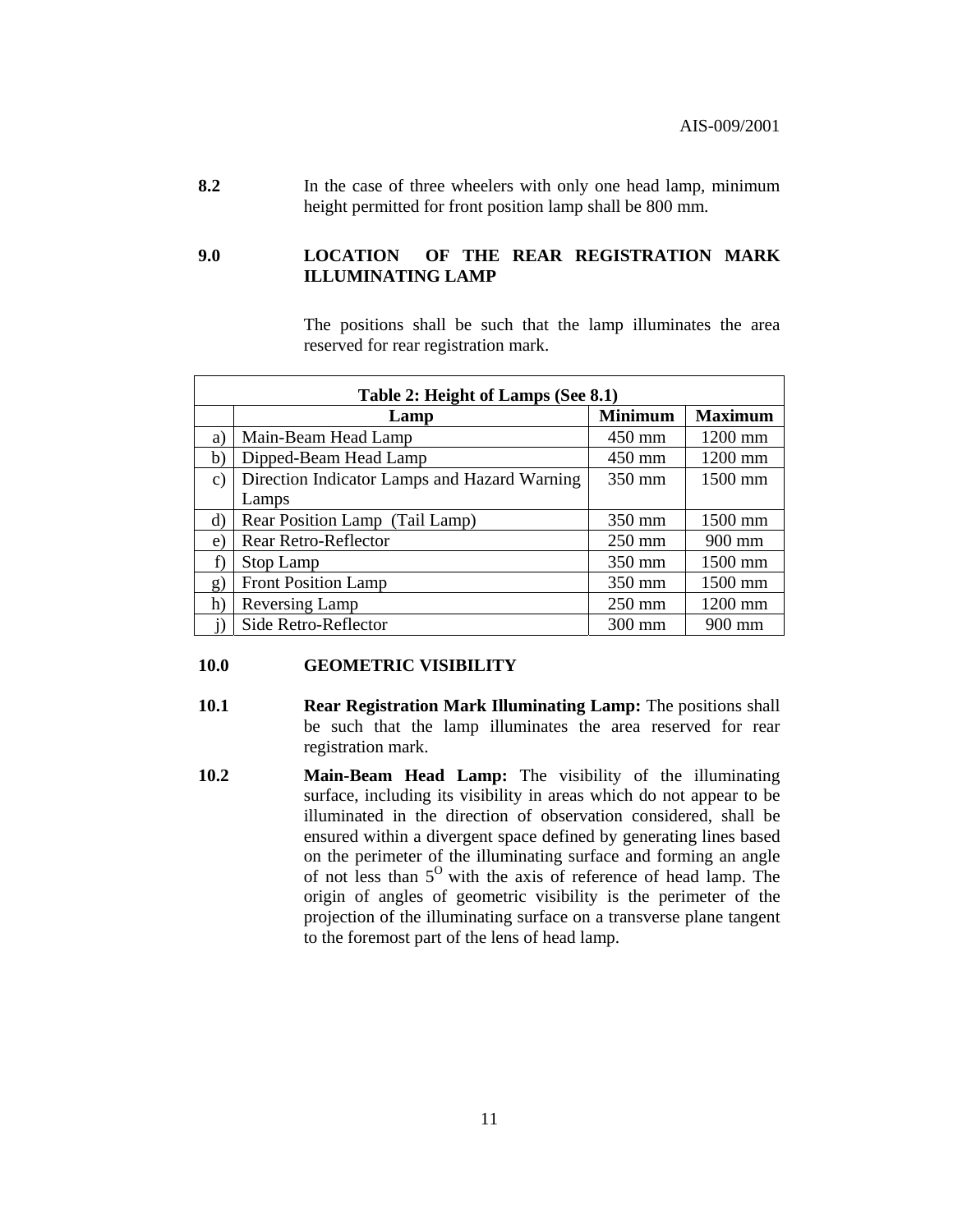**8.2** In the case of three wheelers with only one head lamp, minimum height permitted for front position lamp shall be 800 mm.

#### **9.0 LOCATION OF THE REAR REGISTRATION MARK ILLUMINATING LAMP**

The positions shall be such that the lamp illuminates the area reserved for rear registration mark.

|                 | Table 2: Height of Lamps (See 8.1)           |                  |                |  |  |
|-----------------|----------------------------------------------|------------------|----------------|--|--|
|                 | Lamp                                         | <b>Minimum</b>   | <b>Maximum</b> |  |  |
| a)              | Main-Beam Head Lamp                          | $450 \text{ mm}$ | 1200 mm        |  |  |
| b)              | Dipped-Beam Head Lamp                        | 450 mm           | 1200 mm        |  |  |
| $\mathcal{C}$ ) | Direction Indicator Lamps and Hazard Warning | 350 mm           | 1500 mm        |  |  |
|                 | Lamps                                        |                  |                |  |  |
| d)              | Rear Position Lamp (Tail Lamp)               | 350 mm           | $1500$ mm      |  |  |
| e)              | Rear Retro-Reflector                         | $250$ mm         | $900$ mm       |  |  |
| f)              | Stop Lamp                                    | 350 mm           | 1500 mm        |  |  |
| g'              | <b>Front Position Lamp</b>                   | 350 mm           | 1500 mm        |  |  |
| h)              | Reversing Lamp                               | $250$ mm         | 1200 mm        |  |  |
|                 | Side Retro-Reflector                         | 300 mm           | $900$ mm       |  |  |

#### **10.0 GEOMETRIC VISIBILITY**

- **10.1 Rear Registration Mark Illuminating Lamp:** The positions shall be such that the lamp illuminates the area reserved for rear registration mark.
- **10.2 Main-Beam Head Lamp:** The visibility of the illuminating surface, including its visibility in areas which do not appear to be illuminated in the direction of observation considered, shall be ensured within a divergent space defined by generating lines based on the perimeter of the illuminating surface and forming an angle of not less than  $5^{\circ}$  with the axis of reference of head lamp. The origin of angles of geometric visibility is the perimeter of the projection of the illuminating surface on a transverse plane tangent to the foremost part of the lens of head lamp.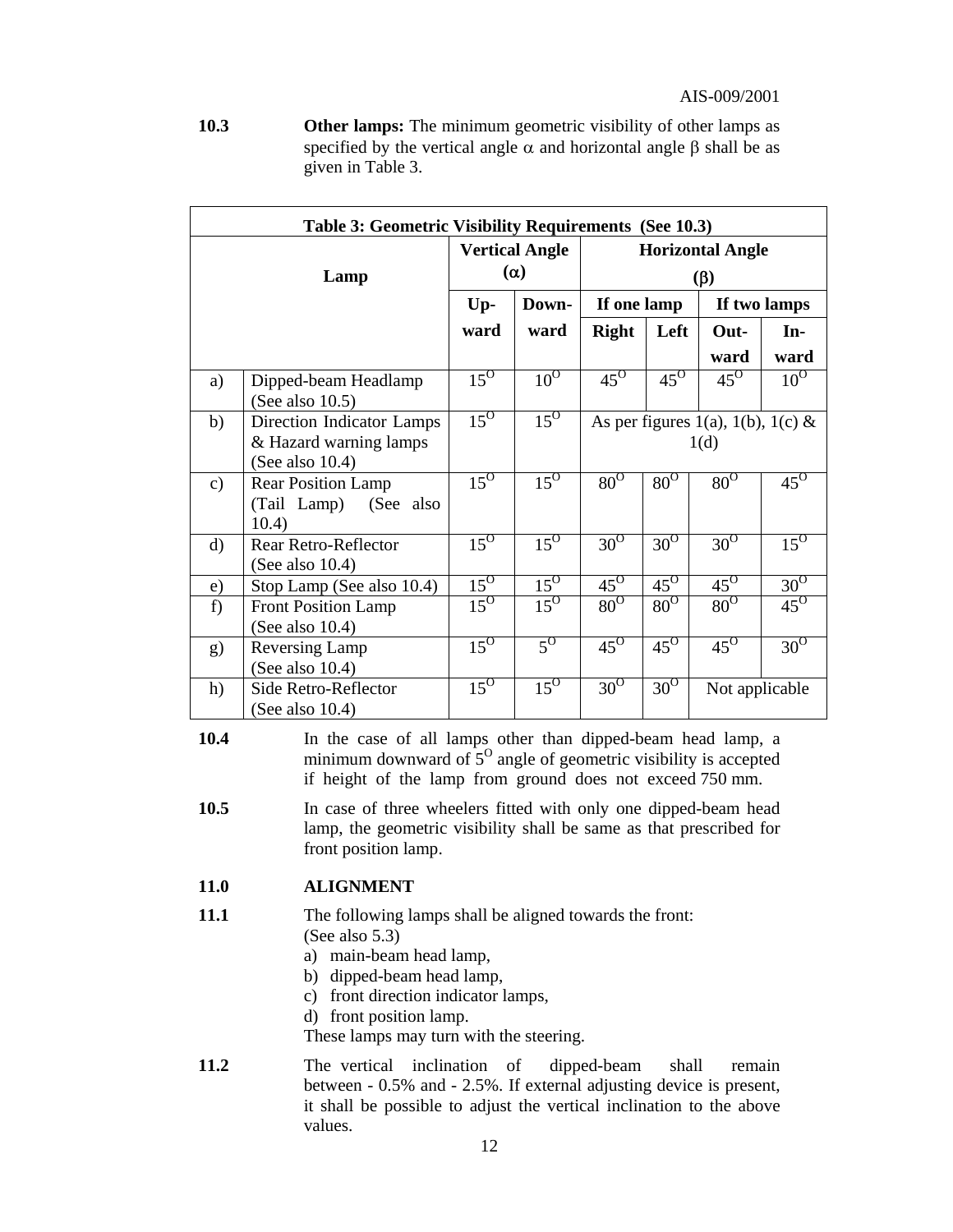**10.3 Other lamps:** The minimum geometric visibility of other lamps as specified by the vertical angle  $\alpha$  and horizontal angle  $\beta$  shall be as given in Table 3.

| Table 3: Geometric Visibility Requirements (See 10.3) |                                                                           |                                     |                   |                                      |            |                                           |                     |
|-------------------------------------------------------|---------------------------------------------------------------------------|-------------------------------------|-------------------|--------------------------------------|------------|-------------------------------------------|---------------------|
| Lamp                                                  |                                                                           | <b>Vertical Angle</b><br>$(\alpha)$ |                   | <b>Horizontal Angle</b><br>$(\beta)$ |            |                                           |                     |
|                                                       |                                                                           | $Up-$                               | Down-             | If one lamp                          |            |                                           | If two lamps        |
|                                                       |                                                                           | ward                                | ward              | <b>Right</b>                         | Left       | Out-                                      | In-                 |
|                                                       |                                                                           |                                     |                   |                                      |            | ward                                      | ward                |
| a)                                                    | Dipped-beam Headlamp<br>(See also $10.5$ )                                | $15^\circ$                          | $10^{0}$          | $45^\circ$                           | $45^\circ$ | $45^\circ$                                | $10^{0}$            |
| b)                                                    | Direction Indicator Lamps<br>& Hazard warning lamps<br>(See also $10.4$ ) | $15^\circ$                          | $\overline{15^0}$ |                                      |            | As per figures 1(a), 1(b), 1(c) &<br>1(d) |                     |
| $\mathbf{c})$                                         | <b>Rear Position Lamp</b><br>(Tail Lamp) (See also<br>10.4)               | $15^\circ$                          | $15^\circ$        | $80^\circ$                           | $80^\circ$ | $80^\circ$                                | $45^\circ$          |
| $\rm d$                                               | Rear Retro-Reflector<br>(See also $10.4$ )                                | $15^\circ$                          | $15^{\circ}$      | $30^{\circ}$                         | $30^\circ$ | $30^{\overline{0}}$                       | $15^{\overline{0}}$ |
| e)                                                    | Stop Lamp (See also 10.4)                                                 | $15^\circ$                          | $15^{\circ}$      | $45^\circ$                           | $45^\circ$ | $45^\circ$                                | $30^\circ$          |
| f)                                                    | <b>Front Position Lamp</b><br>(See also $10.4$ )                          | $15^\circ$                          | $15^{\circ}$      | $80^\circ$                           | $80^\circ$ | $80^\circ$                                | $45^\circ$          |
| g)                                                    | Reversing Lamp<br>(See also $10.4$ )                                      | $15^{\circ}$                        | $5^{\rm o}$       | $45^\circ$                           | $45^\circ$ | $45^\circ$                                | $30^{\overline{0}}$ |
| h)                                                    | Side Retro-Reflector<br>(See also $10.4$ )                                | $15^{\circ}$                        | $15^{\circ}$      | $30^\circ$                           | $30^\circ$ | Not applicable                            |                     |

**10.4** In the case of all lamps other than dipped-beam head lamp, a minimum downward of  $5^{\circ}$  angle of geometric visibility is accepted if height of the lamp from ground does not exceed 750 mm.

**10.5** In case of three wheelers fitted with only one dipped-beam head lamp, the geometric visibility shall be same as that prescribed for front position lamp.

#### **11.0 ALIGNMENT**

- **11.1** The following lamps shall be aligned towards the front: (See also 5.3)
	- a) main-beam head lamp,
	- b) dipped-beam head lamp,
	- c) front direction indicator lamps,
	- d) front position lamp.

These lamps may turn with the steering.

**11.2** The vertical inclination of dipped-beam shall remain between - 0.5% and - 2.5%. If external adjusting device is present, it shall be possible to adjust the vertical inclination to the above values.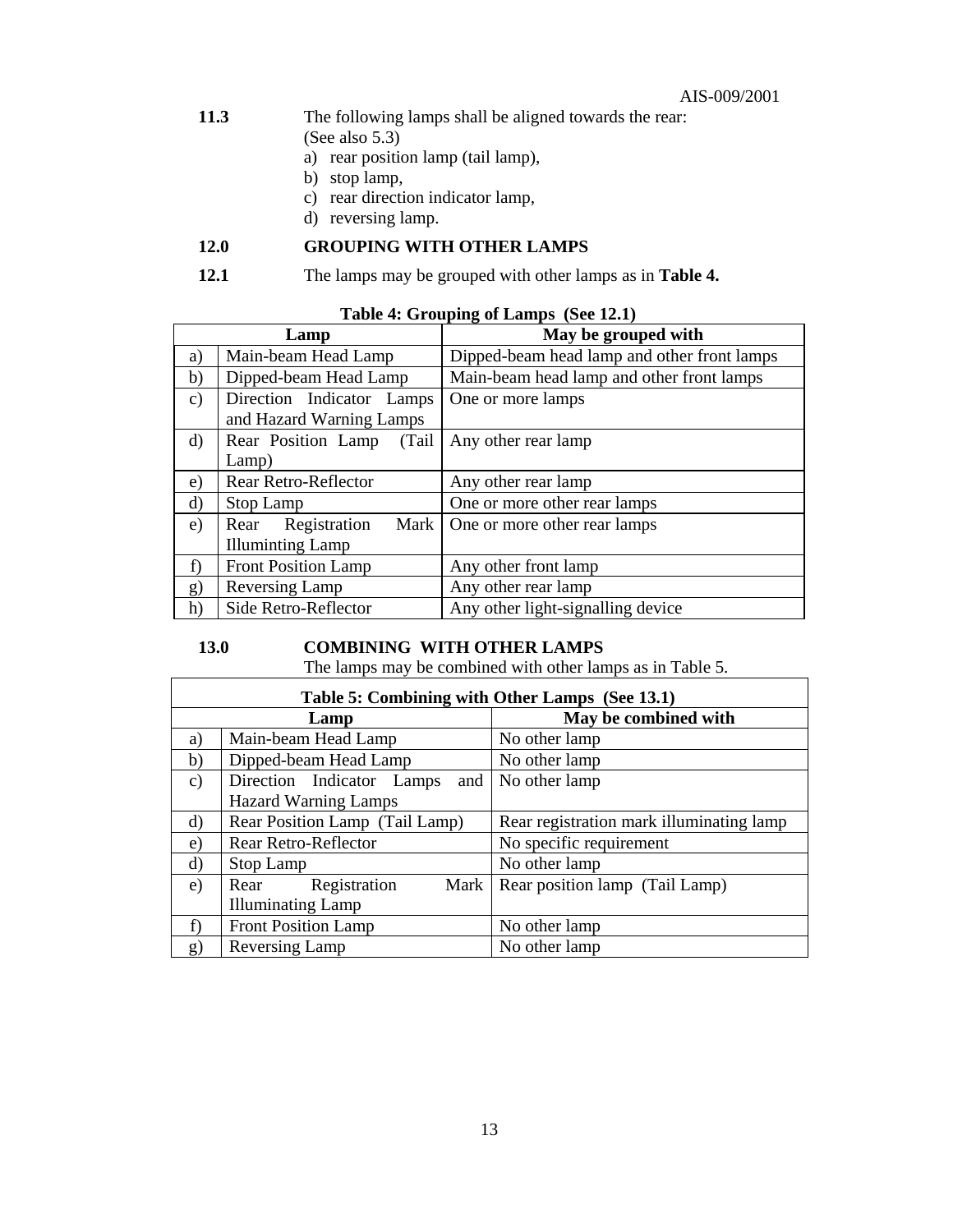#### AIS-009/2001

- **11.3** The following lamps shall be aligned towards the rear:
	- (See also 5.3)
	- a) rear position lamp (tail lamp),
	- b) stop lamp,
	- c) rear direction indicator lamp,
	- d) reversing lamp.

## **12.0 GROUPING WITH OTHER LAMPS**

**12.1** The lamps may be grouped with other lamps as in **Table 4.**

| Table 4: Grouping of Lamps (See 12.1) |  |
|---------------------------------------|--|
|---------------------------------------|--|

|               | Lamp                         | May be grouped with                         |
|---------------|------------------------------|---------------------------------------------|
| a)            | Main-beam Head Lamp          | Dipped-beam head lamp and other front lamps |
| b)            | Dipped-beam Head Lamp        | Main-beam head lamp and other front lamps   |
| $\mathbf{c})$ | Direction Indicator Lamps    | One or more lamps                           |
|               | and Hazard Warning Lamps     |                                             |
| d)            | Rear Position Lamp<br>(Tail) | Any other rear lamp                         |
|               | Lamp)                        |                                             |
| e)            | Rear Retro-Reflector         | Any other rear lamp                         |
| $\rm d$       | Stop Lamp                    | One or more other rear lamps                |
| e)            | Rear Registration<br>Mark    | One or more other rear lamps                |
|               | <b>Illuminting Lamp</b>      |                                             |
| f)            | <b>Front Position Lamp</b>   | Any other front lamp                        |
| g)            | Reversing Lamp               | Any other rear lamp                         |
| h)            | Side Retro-Reflector         | Any other light-signalling device           |

## **13.0 COMBINING WITH OTHER LAMPS**

The lamps may be combined with other lamps as in Table 5.

|               | Table 5: Combining with Other Lamps (See 13.1) |                                          |  |  |  |
|---------------|------------------------------------------------|------------------------------------------|--|--|--|
|               | Lamp                                           | May be combined with                     |  |  |  |
| a)            | Main-beam Head Lamp                            | No other lamp                            |  |  |  |
| b)            | Dipped-beam Head Lamp                          | No other lamp                            |  |  |  |
| $\mathbf{c})$ | Direction Indicator Lamps<br>and               | No other lamp                            |  |  |  |
|               | <b>Hazard Warning Lamps</b>                    |                                          |  |  |  |
| $\rm d$       | Rear Position Lamp (Tail Lamp)                 | Rear registration mark illuminating lamp |  |  |  |
| e)            | Rear Retro-Reflector                           | No specific requirement                  |  |  |  |
| $\rm d$       | Stop Lamp                                      | No other lamp                            |  |  |  |
| e)            | Registration<br>Mark<br>Rear                   | Rear position lamp (Tail Lamp)           |  |  |  |
|               | <b>Illuminating Lamp</b>                       |                                          |  |  |  |
| f)            | <b>Front Position Lamp</b>                     | No other lamp                            |  |  |  |
| g)            | Reversing Lamp                                 | No other lamp                            |  |  |  |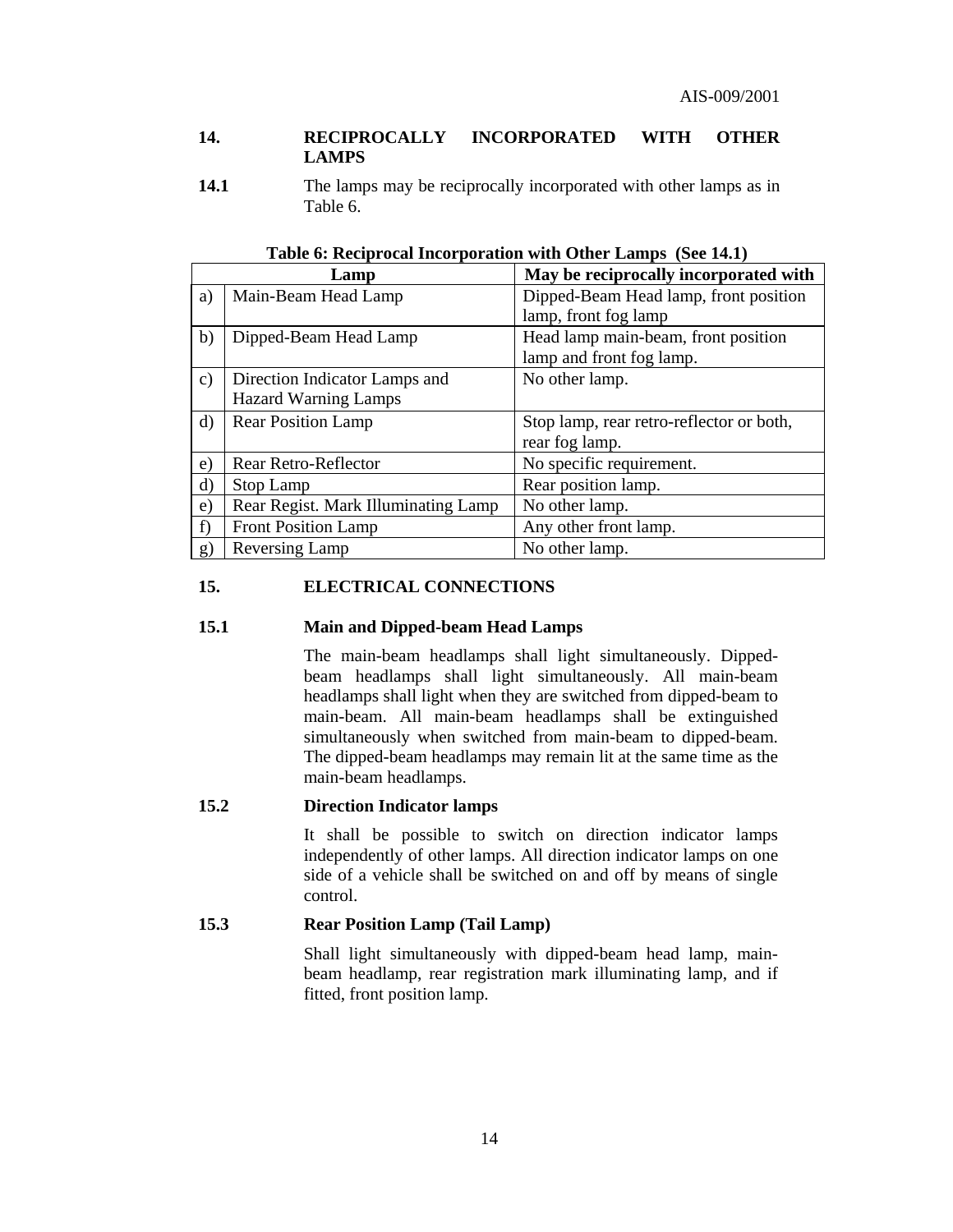#### **14. RECIPROCALLY INCORPORATED WITH OTHER LAMPS**

**14.1 11.1** The lamps may be reciprocally incorporated with other lamps as in Table 6.

|               | Lamp                                | May be reciprocally incorporated with    |
|---------------|-------------------------------------|------------------------------------------|
| a)            | Main-Beam Head Lamp                 | Dipped-Beam Head lamp, front position    |
|               |                                     | lamp, front fog lamp                     |
| b)            | Dipped-Beam Head Lamp               | Head lamp main-beam, front position      |
|               |                                     | lamp and front fog lamp.                 |
| $\mathbf{c})$ | Direction Indicator Lamps and       | No other lamp.                           |
|               | <b>Hazard Warning Lamps</b>         |                                          |
| d)            | <b>Rear Position Lamp</b>           | Stop lamp, rear retro-reflector or both, |
|               |                                     | rear fog lamp.                           |
| e)            | Rear Retro-Reflector                | No specific requirement.                 |
| d)            | Stop Lamp                           | Rear position lamp.                      |
| e)            | Rear Regist. Mark Illuminating Lamp | No other lamp.                           |
| f)            | <b>Front Position Lamp</b>          | Any other front lamp.                    |
| g)            | Reversing Lamp                      | No other lamp.                           |

**Table 6: Reciprocal Incorporation with Other Lamps (See 14.1)** 

#### **15. ELECTRICAL CONNECTIONS**

#### **15.1 Main and Dipped-beam Head Lamps**

 The main-beam headlamps shall light simultaneously. Dippedbeam headlamps shall light simultaneously. All main-beam headlamps shall light when they are switched from dipped-beam to main-beam. All main-beam headlamps shall be extinguished simultaneously when switched from main-beam to dipped-beam. The dipped-beam headlamps may remain lit at the same time as the main-beam headlamps.

#### **15.2 Direction Indicator lamps**

 It shall be possible to switch on direction indicator lamps independently of other lamps. All direction indicator lamps on one side of a vehicle shall be switched on and off by means of single control.

#### **15.3 Rear Position Lamp (Tail Lamp)**

 Shall light simultaneously with dipped-beam head lamp, mainbeam headlamp, rear registration mark illuminating lamp, and if fitted, front position lamp.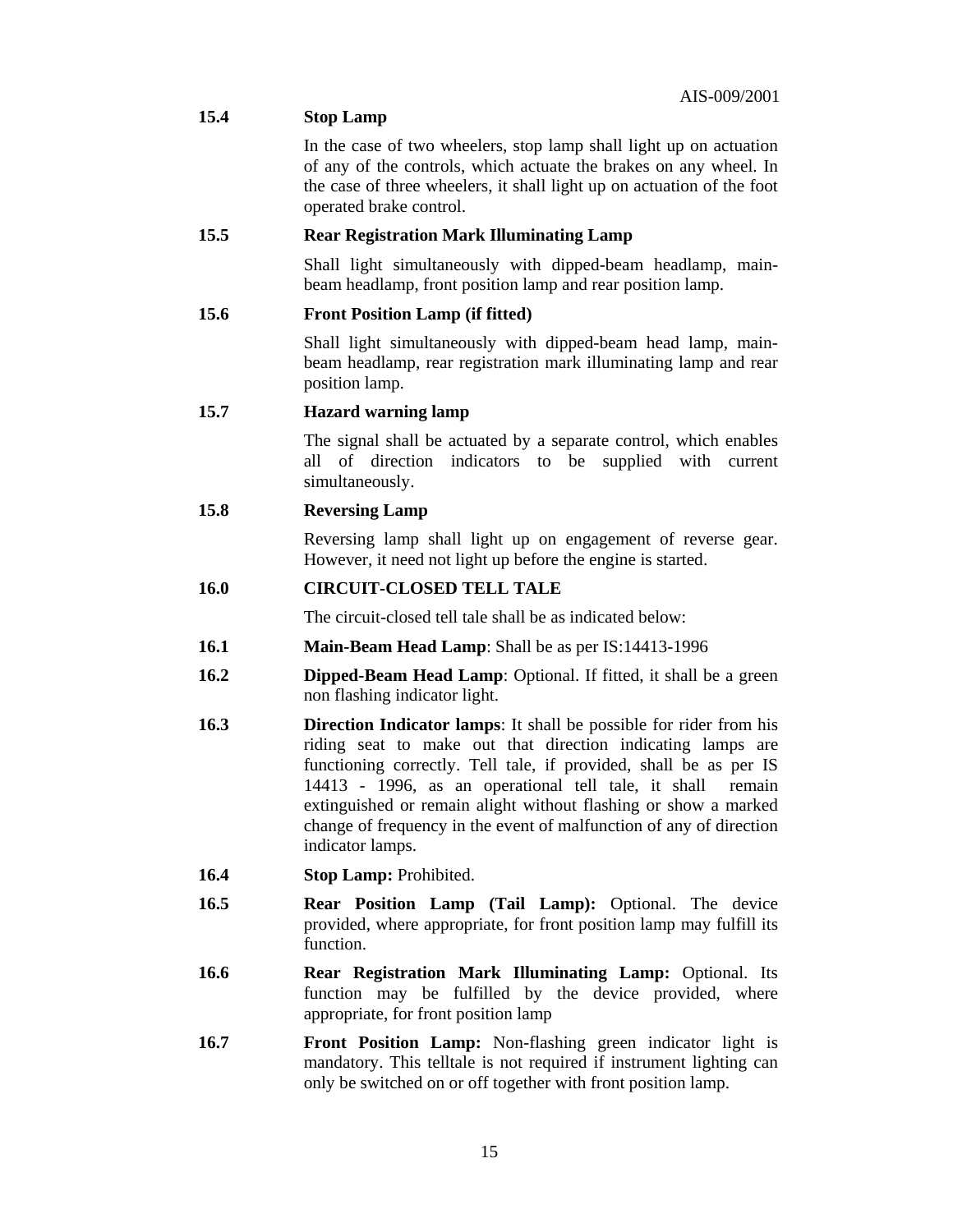| 15.4 | AIN-002/2001<br><b>Stop Lamp</b>                                                                                                                                                                                                                                                                                                                                                                                                             |  |  |  |  |  |
|------|----------------------------------------------------------------------------------------------------------------------------------------------------------------------------------------------------------------------------------------------------------------------------------------------------------------------------------------------------------------------------------------------------------------------------------------------|--|--|--|--|--|
|      | In the case of two wheelers, stop lamp shall light up on actuation<br>of any of the controls, which actuate the brakes on any wheel. In<br>the case of three wheelers, it shall light up on actuation of the foot<br>operated brake control.                                                                                                                                                                                                 |  |  |  |  |  |
| 15.5 | <b>Rear Registration Mark Illuminating Lamp</b>                                                                                                                                                                                                                                                                                                                                                                                              |  |  |  |  |  |
|      | Shall light simultaneously with dipped-beam headlamp, main-<br>beam headlamp, front position lamp and rear position lamp.                                                                                                                                                                                                                                                                                                                    |  |  |  |  |  |
| 15.6 | <b>Front Position Lamp (if fitted)</b>                                                                                                                                                                                                                                                                                                                                                                                                       |  |  |  |  |  |
|      | Shall light simultaneously with dipped-beam head lamp, main-<br>beam headlamp, rear registration mark illuminating lamp and rear<br>position lamp.                                                                                                                                                                                                                                                                                           |  |  |  |  |  |
| 15.7 | <b>Hazard warning lamp</b>                                                                                                                                                                                                                                                                                                                                                                                                                   |  |  |  |  |  |
|      | The signal shall be actuated by a separate control, which enables<br>all of direction<br>indicators to be supplied with current<br>simultaneously.                                                                                                                                                                                                                                                                                           |  |  |  |  |  |
| 15.8 | <b>Reversing Lamp</b>                                                                                                                                                                                                                                                                                                                                                                                                                        |  |  |  |  |  |
|      | Reversing lamp shall light up on engagement of reverse gear.<br>However, it need not light up before the engine is started.                                                                                                                                                                                                                                                                                                                  |  |  |  |  |  |
| 16.0 | <b>CIRCUIT-CLOSED TELL TALE</b>                                                                                                                                                                                                                                                                                                                                                                                                              |  |  |  |  |  |
|      | The circuit-closed tell tale shall be as indicated below:                                                                                                                                                                                                                                                                                                                                                                                    |  |  |  |  |  |
| 16.1 | <b>Main-Beam Head Lamp:</b> Shall be as per IS:14413-1996                                                                                                                                                                                                                                                                                                                                                                                    |  |  |  |  |  |
| 16.2 | <b>Dipped-Beam Head Lamp:</b> Optional. If fitted, it shall be a green<br>non flashing indicator light.                                                                                                                                                                                                                                                                                                                                      |  |  |  |  |  |
| 16.3 | <b>Direction Indicator lamps:</b> It shall be possible for rider from his<br>riding seat to make out that direction indicating lamps are<br>functioning correctly. Tell tale, if provided, shall be as per IS<br>14413 - 1996, as an operational tell tale, it shall<br>remain<br>extinguished or remain alight without flashing or show a marked<br>change of frequency in the event of malfunction of any of direction<br>indicator lamps. |  |  |  |  |  |
| 16.4 | Stop Lamp: Prohibited.                                                                                                                                                                                                                                                                                                                                                                                                                       |  |  |  |  |  |
| 16.5 | <b>Rear Position Lamp (Tail Lamp):</b> Optional. The device<br>provided, where appropriate, for front position lamp may fulfill its<br>function.                                                                                                                                                                                                                                                                                             |  |  |  |  |  |
| 16.6 | Rear Registration Mark Illuminating Lamp: Optional. Its<br>function may be fulfilled by the device provided, where<br>appropriate, for front position lamp                                                                                                                                                                                                                                                                                   |  |  |  |  |  |
| 16.7 | Front Position Lamp: Non-flashing green indicator light is<br>mandatory. This telltale is not required if instrument lighting can<br>only be switched on or off together with front position lamp.                                                                                                                                                                                                                                           |  |  |  |  |  |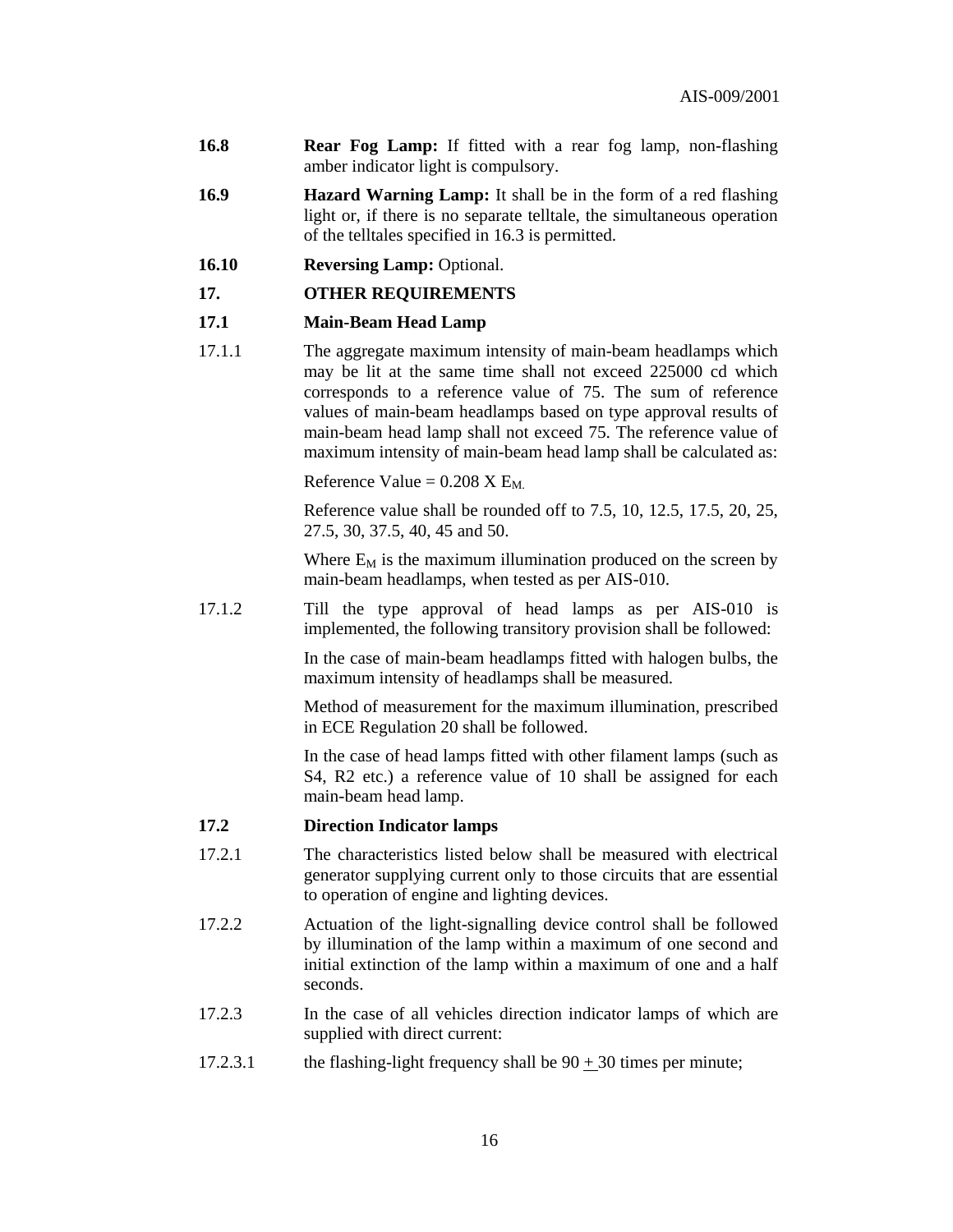- **16.8 Rear Fog Lamp:** If fitted with a rear fog lamp, non-flashing amber indicator light is compulsory.
- **16.9 Hazard Warning Lamp:** It shall be in the form of a red flashing light or, if there is no separate telltale, the simultaneous operation of the telltales specified in 16.3 is permitted.
- **16.10 Reversing Lamp:** Optional.

#### **17. OTHER REQUIREMENTS**

#### **17.1 Main-Beam Head Lamp**

17.1.1 The aggregate maximum intensity of main-beam headlamps which may be lit at the same time shall not exceed 225000 cd which corresponds to a reference value of 75. The sum of reference values of main-beam headlamps based on type approval results of main-beam head lamp shall not exceed 75. The reference value of maximum intensity of main-beam head lamp shall be calculated as:

Reference Value =  $0.208$  X  $E_M$ 

 Reference value shall be rounded off to 7.5, 10, 12.5, 17.5, 20, 25, 27.5, 30, 37.5, 40, 45 and 50.

Where  $E_M$  is the maximum illumination produced on the screen by main-beam headlamps, when tested as per AIS-010.

17.1.2 Till the type approval of head lamps as per AIS-010 is implemented, the following transitory provision shall be followed:

> In the case of main-beam headlamps fitted with halogen bulbs, the maximum intensity of headlamps shall be measured.

> Method of measurement for the maximum illumination, prescribed in ECE Regulation 20 shall be followed.

> In the case of head lamps fitted with other filament lamps (such as S4, R2 etc.) a reference value of 10 shall be assigned for each main-beam head lamp.

#### **17.2 Direction Indicator lamps**

- 17.2.1 The characteristics listed below shall be measured with electrical generator supplying current only to those circuits that are essential to operation of engine and lighting devices.
- 17.2.2 Actuation of the light-signalling device control shall be followed by illumination of the lamp within a maximum of one second and initial extinction of the lamp within a maximum of one and a half seconds.
- 17.2.3 In the case of all vehicles direction indicator lamps of which are supplied with direct current:
- 17.2.3.1 the flashing-light frequency shall be  $90 + 30$  times per minute;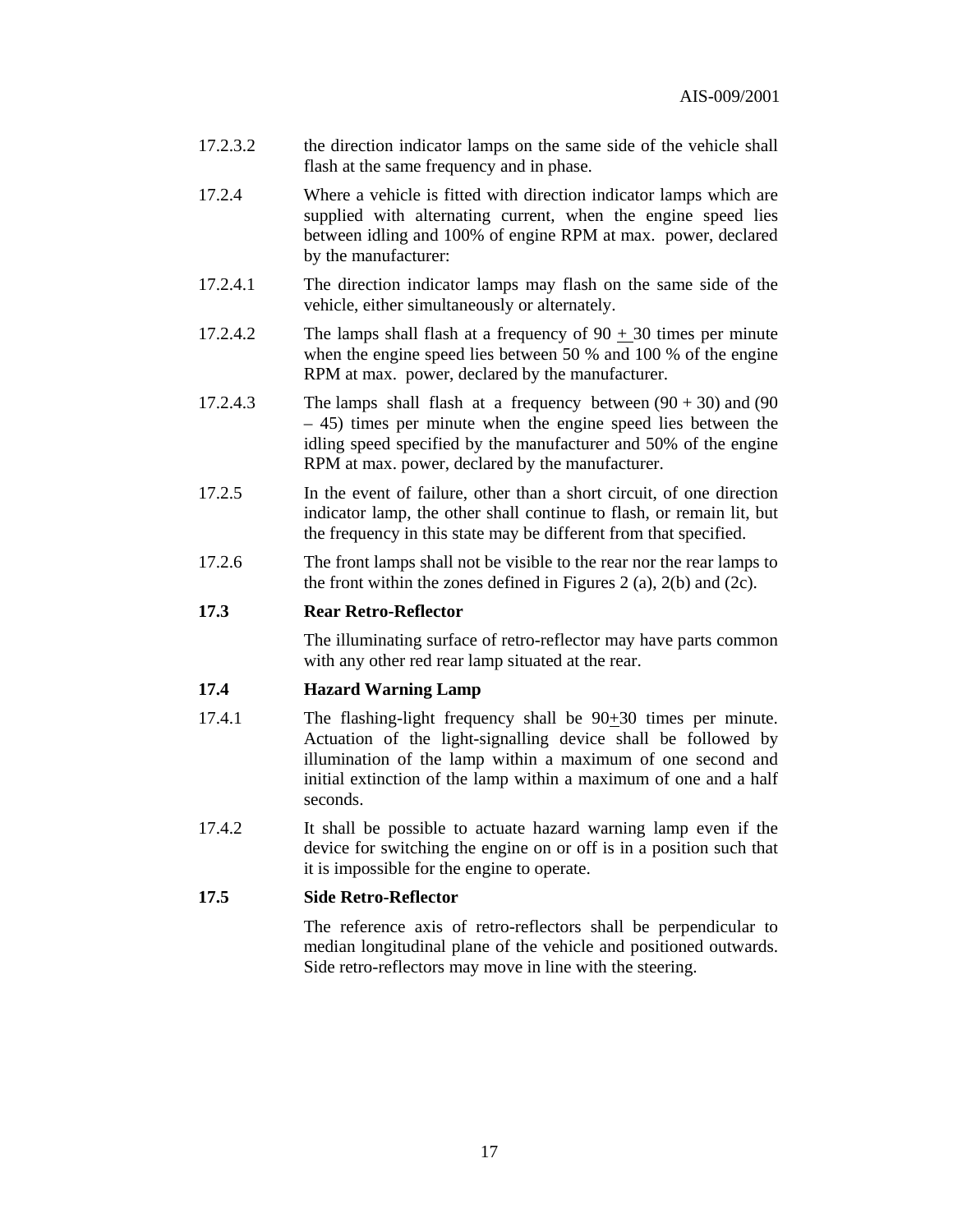- 17.2.3.2 the direction indicator lamps on the same side of the vehicle shall flash at the same frequency and in phase.
- 17.2.4 Where a vehicle is fitted with direction indicator lamps which are supplied with alternating current, when the engine speed lies between idling and 100% of engine RPM at max. power, declared by the manufacturer:
- 17.2.4.1 The direction indicator lamps may flash on the same side of the vehicle, either simultaneously or alternately.
- 17.2.4.2 The lamps shall flash at a frequency of  $90 + 30$  times per minute when the engine speed lies between 50 % and 100 % of the engine RPM at max. power, declared by the manufacturer.
- 17.2.4.3 The lamps shall flash at a frequency between  $(90 + 30)$  and  $(90 + 12)$ – 45) times per minute when the engine speed lies between the idling speed specified by the manufacturer and 50% of the engine RPM at max. power, declared by the manufacturer.
- 17.2.5 In the event of failure, other than a short circuit, of one direction indicator lamp, the other shall continue to flash, or remain lit, but the frequency in this state may be different from that specified.
- 17.2.6 The front lamps shall not be visible to the rear nor the rear lamps to the front within the zones defined in Figures 2 (a),  $2(b)$  and  $(2c)$ .

#### **17.3 Rear Retro-Reflector**

 The illuminating surface of retro-reflector may have parts common with any other red rear lamp situated at the rear.

#### **17.4 Hazard Warning Lamp**

- 17.4.1 The flashing-light frequency shall be 90+30 times per minute. Actuation of the light-signalling device shall be followed by illumination of the lamp within a maximum of one second and initial extinction of the lamp within a maximum of one and a half seconds.
- 17.4.2 It shall be possible to actuate hazard warning lamp even if the device for switching the engine on or off is in a position such that it is impossible for the engine to operate.

#### **17.5 Side Retro-Reflector**

 The reference axis of retro-reflectors shall be perpendicular to median longitudinal plane of the vehicle and positioned outwards. Side retro-reflectors may move in line with the steering.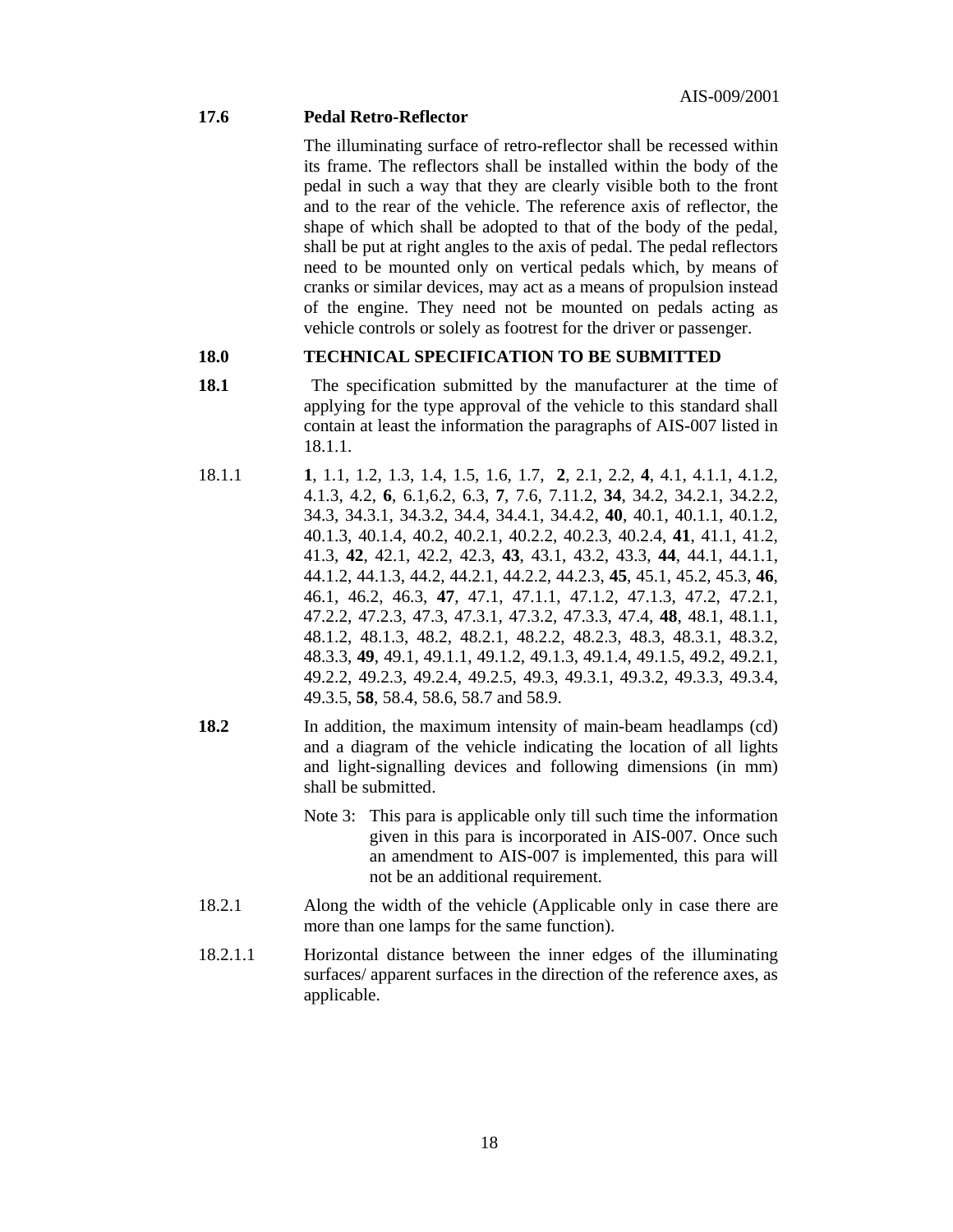#### **17.6 Pedal Retro-Reflector**

 The illuminating surface of retro-reflector shall be recessed within its frame. The reflectors shall be installed within the body of the pedal in such a way that they are clearly visible both to the front and to the rear of the vehicle. The reference axis of reflector, the shape of which shall be adopted to that of the body of the pedal, shall be put at right angles to the axis of pedal. The pedal reflectors need to be mounted only on vertical pedals which, by means of cranks or similar devices, may act as a means of propulsion instead of the engine. They need not be mounted on pedals acting as vehicle controls or solely as footrest for the driver or passenger.

#### **18.0 TECHNICAL SPECIFICATION TO BE SUBMITTED**

- **18.1 18.1 The specification submitted by the manufacturer at the time of** applying for the type approval of the vehicle to this standard shall contain at least the information the paragraphs of AIS-007 listed in 18.1.1.
- 18.1.1 **1**, 1.1, 1.2, 1.3, 1.4, 1.5, 1.6, 1.7, **2**, 2.1, 2.2, **4**, 4.1, 4.1.1, 4.1.2, 4.1.3, 4.2, **6**, 6.1,6.2, 6.3, **7**, 7.6, 7.11.2, **34**, 34.2, 34.2.1, 34.2.2, 34.3, 34.3.1, 34.3.2, 34.4, 34.4.1, 34.4.2, **40**, 40.1, 40.1.1, 40.1.2, 40.1.3, 40.1.4, 40.2, 40.2.1, 40.2.2, 40.2.3, 40.2.4, **41**, 41.1, 41.2, 41.3, **42**, 42.1, 42.2, 42.3, **43**, 43.1, 43.2, 43.3, **44**, 44.1, 44.1.1, 44.1.2, 44.1.3, 44.2, 44.2.1, 44.2.2, 44.2.3, **45**, 45.1, 45.2, 45.3, **46**, 46.1, 46.2, 46.3, **47**, 47.1, 47.1.1, 47.1.2, 47.1.3, 47.2, 47.2.1, 47.2.2, 47.2.3, 47.3, 47.3.1, 47.3.2, 47.3.3, 47.4, **48**, 48.1, 48.1.1, 48.1.2, 48.1.3, 48.2, 48.2.1, 48.2.2, 48.2.3, 48.3, 48.3.1, 48.3.2, 48.3.3, **49**, 49.1, 49.1.1, 49.1.2, 49.1.3, 49.1.4, 49.1.5, 49.2, 49.2.1, 49.2.2, 49.2.3, 49.2.4, 49.2.5, 49.3, 49.3.1, 49.3.2, 49.3.3, 49.3.4, 49.3.5, **58**, 58.4, 58.6, 58.7 and 58.9.
- **18.2** In addition, the maximum intensity of main-beam headlamps (cd) and a diagram of the vehicle indicating the location of all lights and light-signalling devices and following dimensions (in mm) shall be submitted.
	- Note 3: This para is applicable only till such time the information given in this para is incorporated in AIS-007. Once such an amendment to AIS-007 is implemented, this para will not be an additional requirement.
- 18.2.1 Along the width of the vehicle (Applicable only in case there are more than one lamps for the same function).
- 18.2.1.1 Horizontal distance between the inner edges of the illuminating surfaces/ apparent surfaces in the direction of the reference axes, as applicable.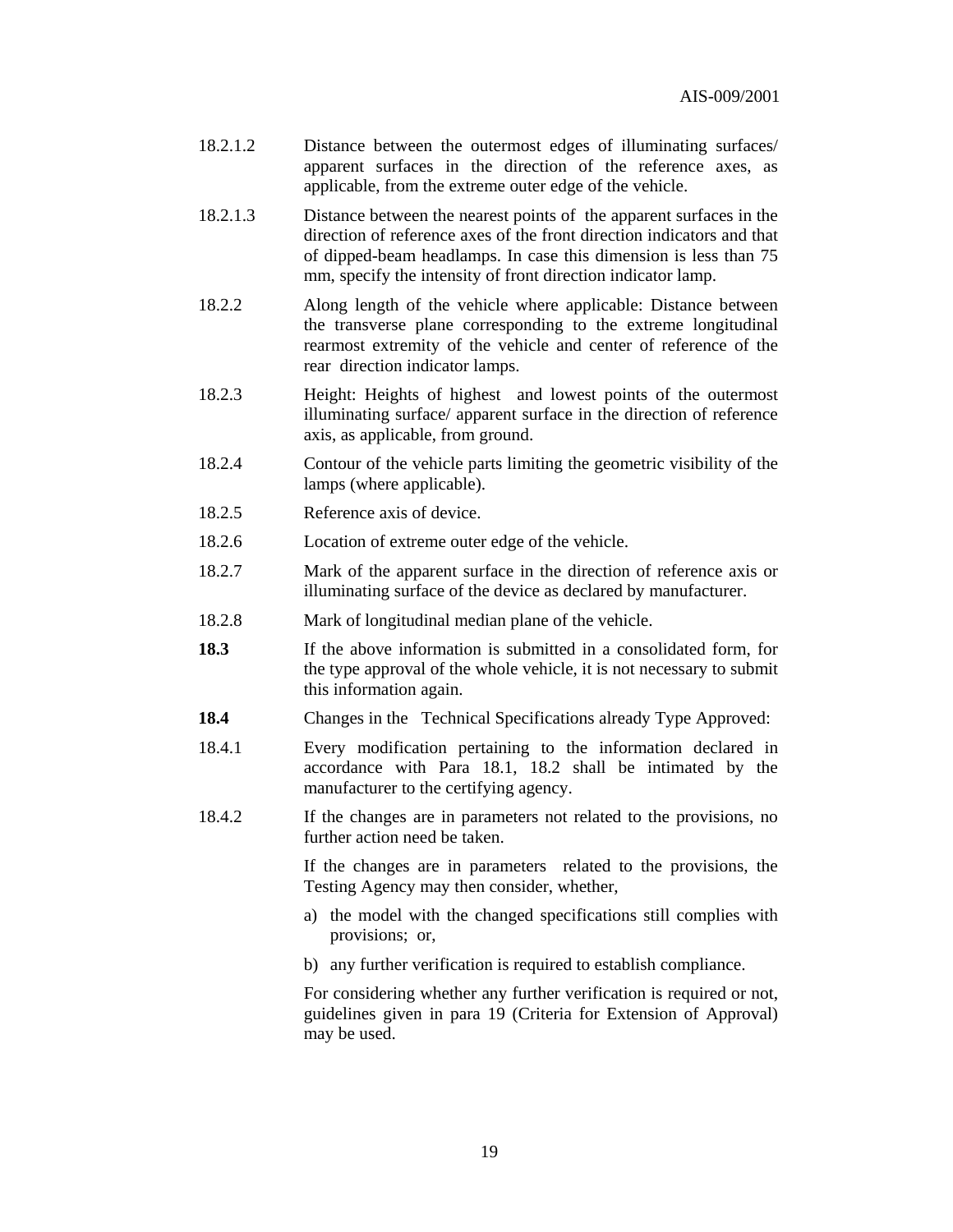- 18.2.1.2 Distance between the outermost edges of illuminating surfaces/ apparent surfaces in the direction of the reference axes, as applicable, from the extreme outer edge of the vehicle.
- 18.2.1.3 Distance between the nearest points of the apparent surfaces in the direction of reference axes of the front direction indicators and that of dipped-beam headlamps. In case this dimension is less than 75 mm, specify the intensity of front direction indicator lamp.
- 18.2.2 Along length of the vehicle where applicable: Distance between the transverse plane corresponding to the extreme longitudinal rearmost extremity of the vehicle and center of reference of the rear direction indicator lamps.
- 18.2.3 Height: Heights of highest and lowest points of the outermost illuminating surface/ apparent surface in the direction of reference axis, as applicable, from ground.
- 18.2.4 Contour of the vehicle parts limiting the geometric visibility of the lamps (where applicable).
- 18.2.5 Reference axis of device.
- 18.2.6 Location of extreme outer edge of the vehicle.
- 18.2.7 Mark of the apparent surface in the direction of reference axis or illuminating surface of the device as declared by manufacturer.
- 18.2.8 Mark of longitudinal median plane of the vehicle.
- **18.3** If the above information is submitted in a consolidated form, for the type approval of the whole vehicle, it is not necessary to submit this information again.
- **18.4** Changes in the Technical Specifications already Type Approved:
- 18.4.1 Every modification pertaining to the information declared in accordance with Para 18.1, 18.2 shall be intimated by the manufacturer to the certifying agency.
- 18.4.2 If the changes are in parameters not related to the provisions, no further action need be taken.

 If the changes are in parameters related to the provisions, the Testing Agency may then consider, whether,

- a) the model with the changed specifications still complies with provisions; or,
- b) any further verification is required to establish compliance.

 For considering whether any further verification is required or not, guidelines given in para 19 (Criteria for Extension of Approval) may be used.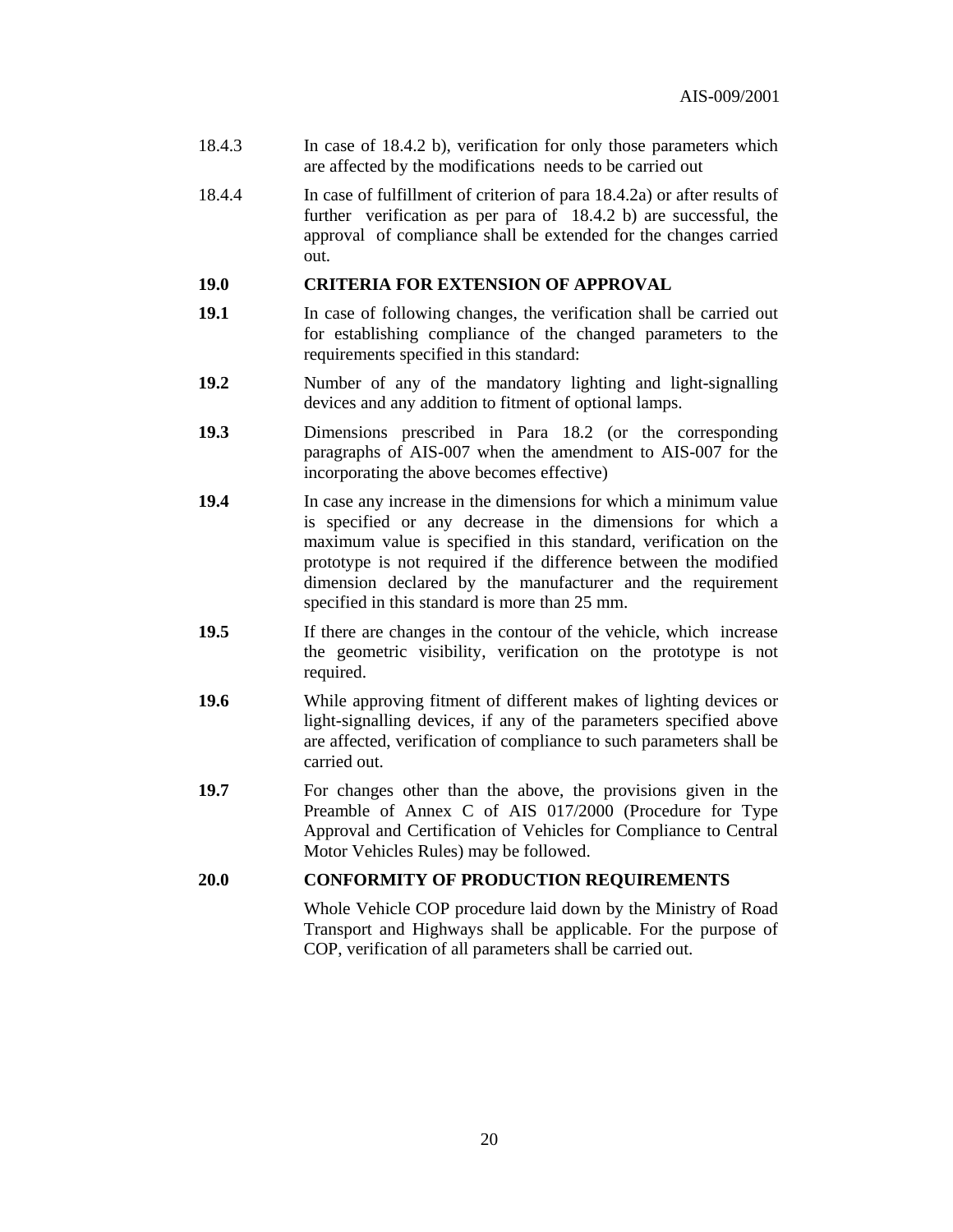- 18.4.3 In case of 18.4.2 b), verification for only those parameters which are affected by the modifications needs to be carried out
- 18.4.4 In case of fulfillment of criterion of para 18.4.2a) or after results of further verification as per para of 18.4.2 b) are successful, the approval of compliance shall be extended for the changes carried out.

#### **19.0 CRITERIA FOR EXTENSION OF APPROVAL**

- **19.1** In case of following changes, the verification shall be carried out for establishing compliance of the changed parameters to the requirements specified in this standard:
- **19.2** Number of any of the mandatory lighting and light-signalling devices and any addition to fitment of optional lamps.
- **19.3** Dimensions prescribed in Para 18.2 (or the corresponding paragraphs of AIS-007 when the amendment to AIS-007 for the incorporating the above becomes effective)
- **19.4** In case any increase in the dimensions for which a minimum value is specified or any decrease in the dimensions for which a maximum value is specified in this standard, verification on the prototype is not required if the difference between the modified dimension declared by the manufacturer and the requirement specified in this standard is more than 25 mm.
- **19.5** If there are changes in the contour of the vehicle, which increase the geometric visibility, verification on the prototype is not required.
- **19.6** While approving fitment of different makes of lighting devices or light-signalling devices, if any of the parameters specified above are affected, verification of compliance to such parameters shall be carried out.
- **19.7** For changes other than the above, the provisions given in the Preamble of Annex C of AIS 017/2000 (Procedure for Type Approval and Certification of Vehicles for Compliance to Central Motor Vehicles Rules) may be followed.

#### **20.0 CONFORMITY OF PRODUCTION REQUIREMENTS**

 Whole Vehicle COP procedure laid down by the Ministry of Road Transport and Highways shall be applicable. For the purpose of COP, verification of all parameters shall be carried out.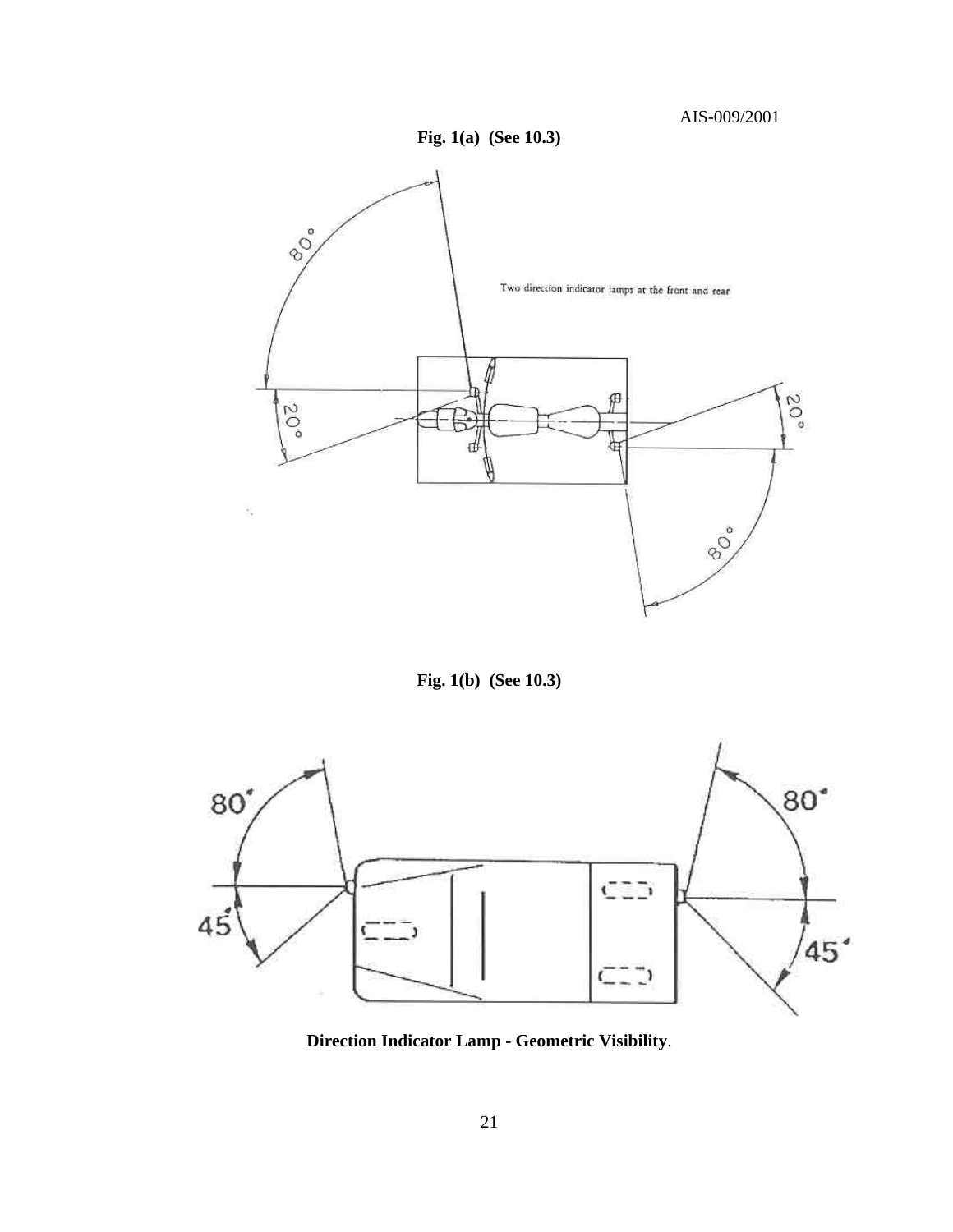



**Fig. 1(b) (See 10.3)** 



**Direction Indicator Lamp - Geometric Visibility**.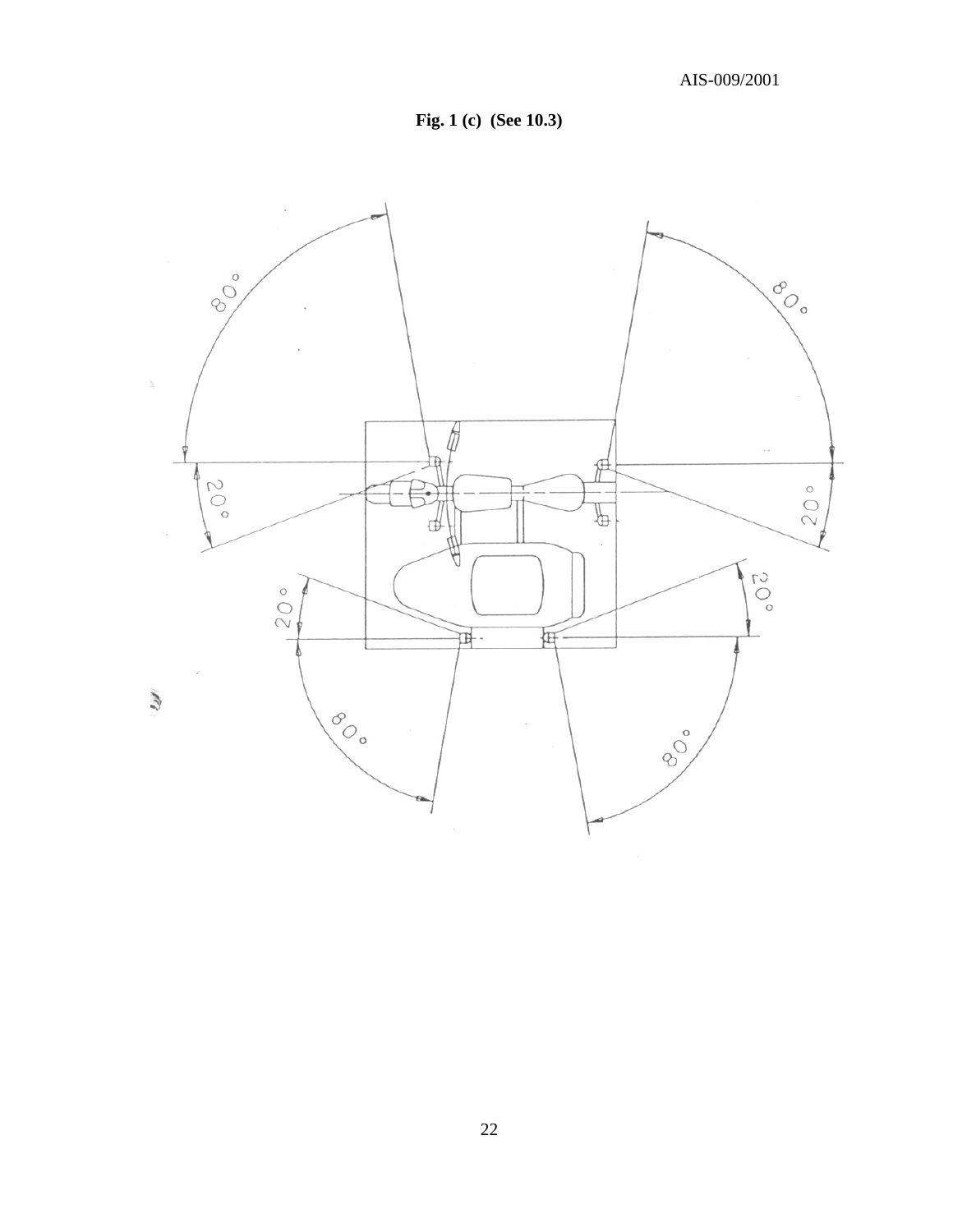

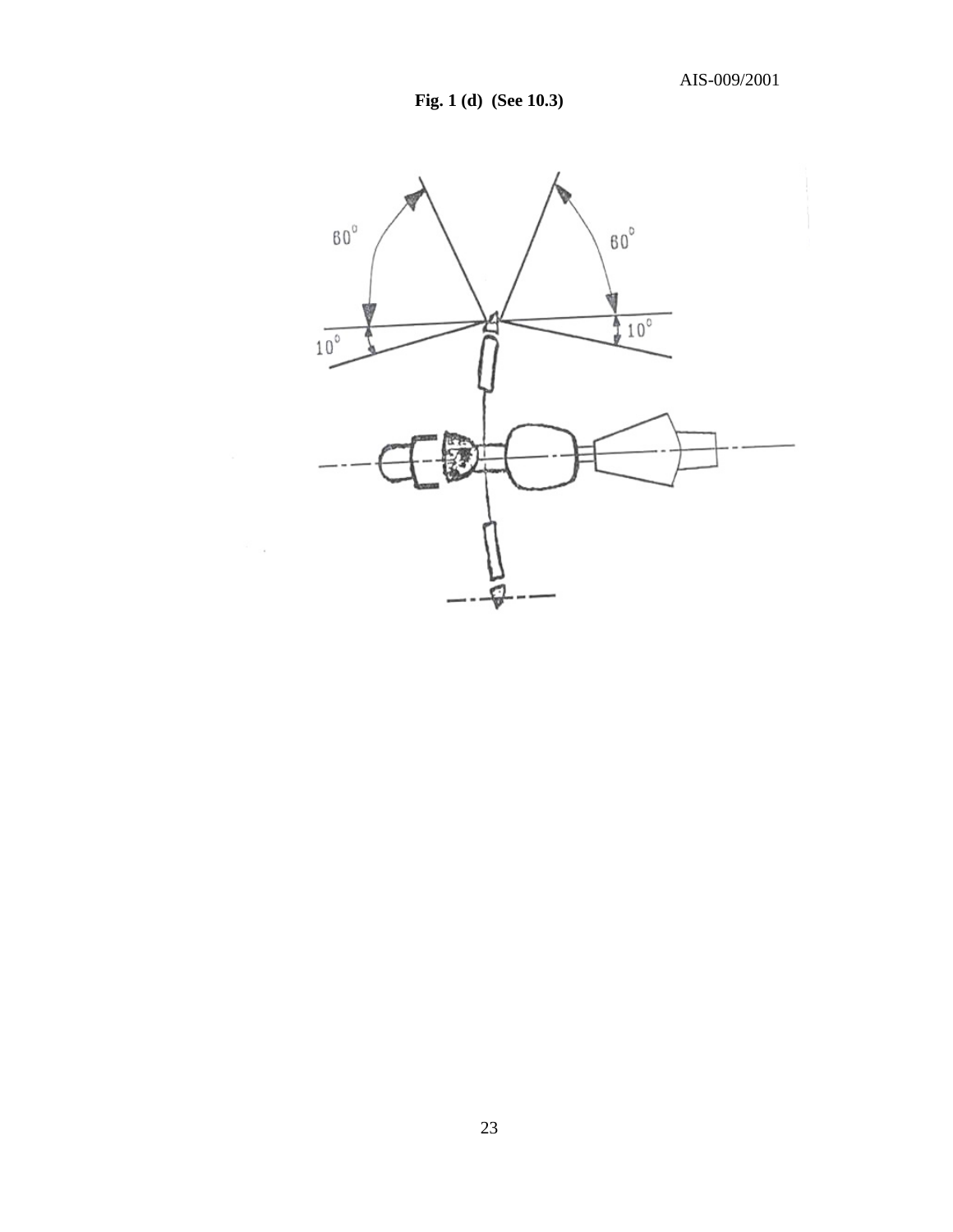**Fig. 1 (d) (See 10.3)** 

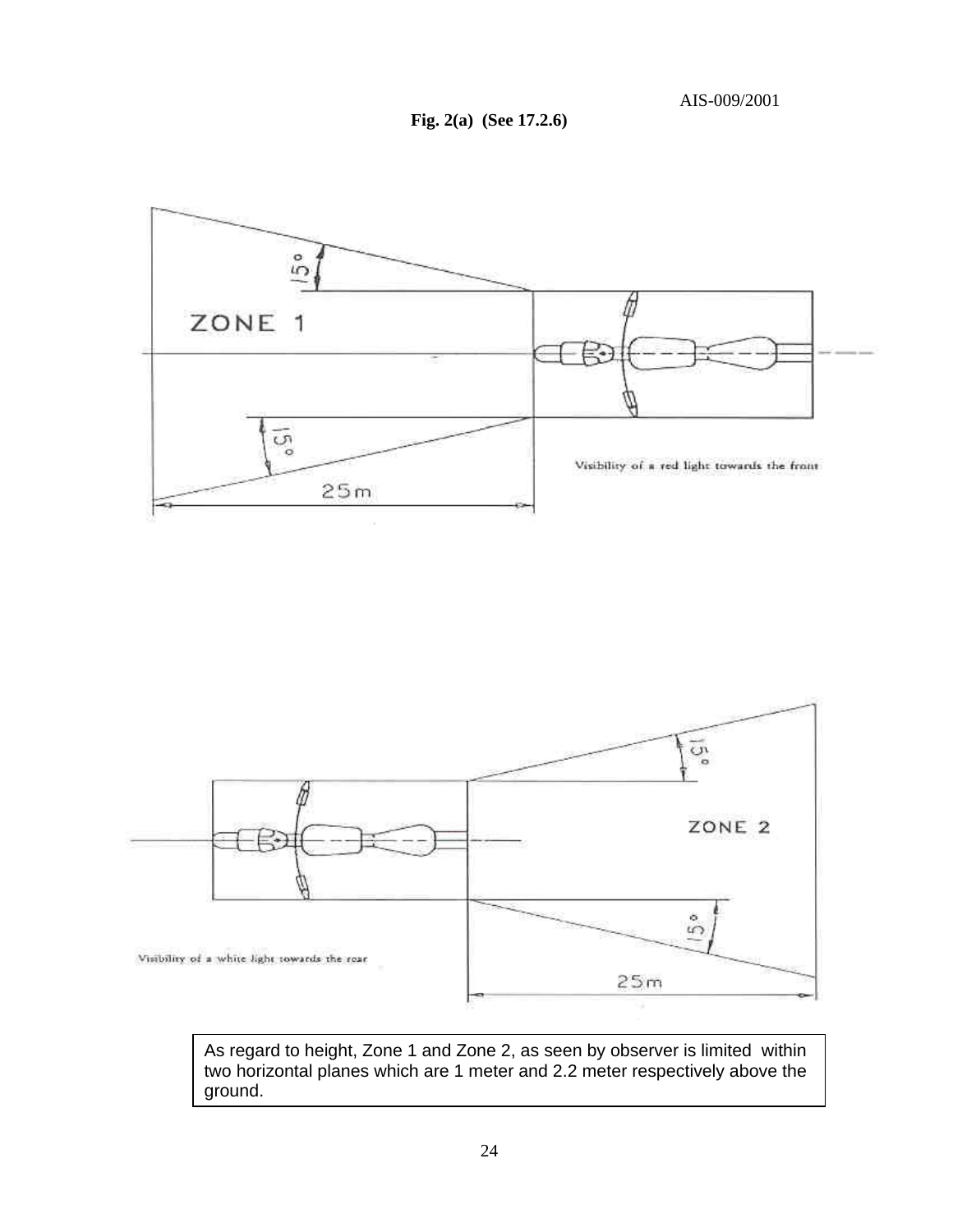**Fig. 2(a) (See 17.2.6)**





As regard to height, Zone 1 and Zone 2, as seen by observer is limited within two horizontal planes which are 1 meter and 2.2 meter respectively above the ground.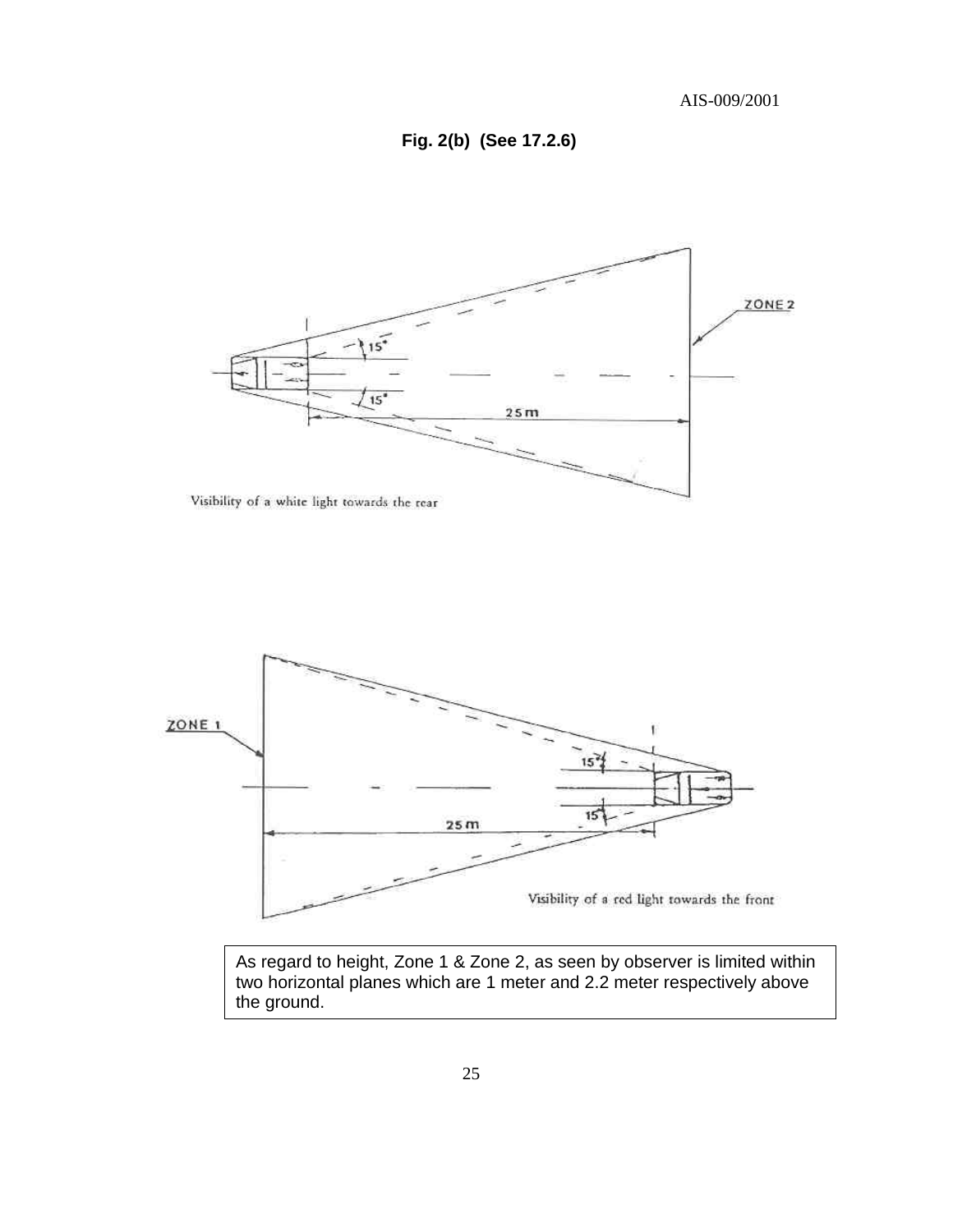**Fig. 2(b) (See 17.2.6)**



Visibility of a white light towards the rear



As regard to height, Zone 1 & Zone 2, as seen by observer is limited within two horizontal planes which are 1 meter and 2.2 meter respectively above the ground.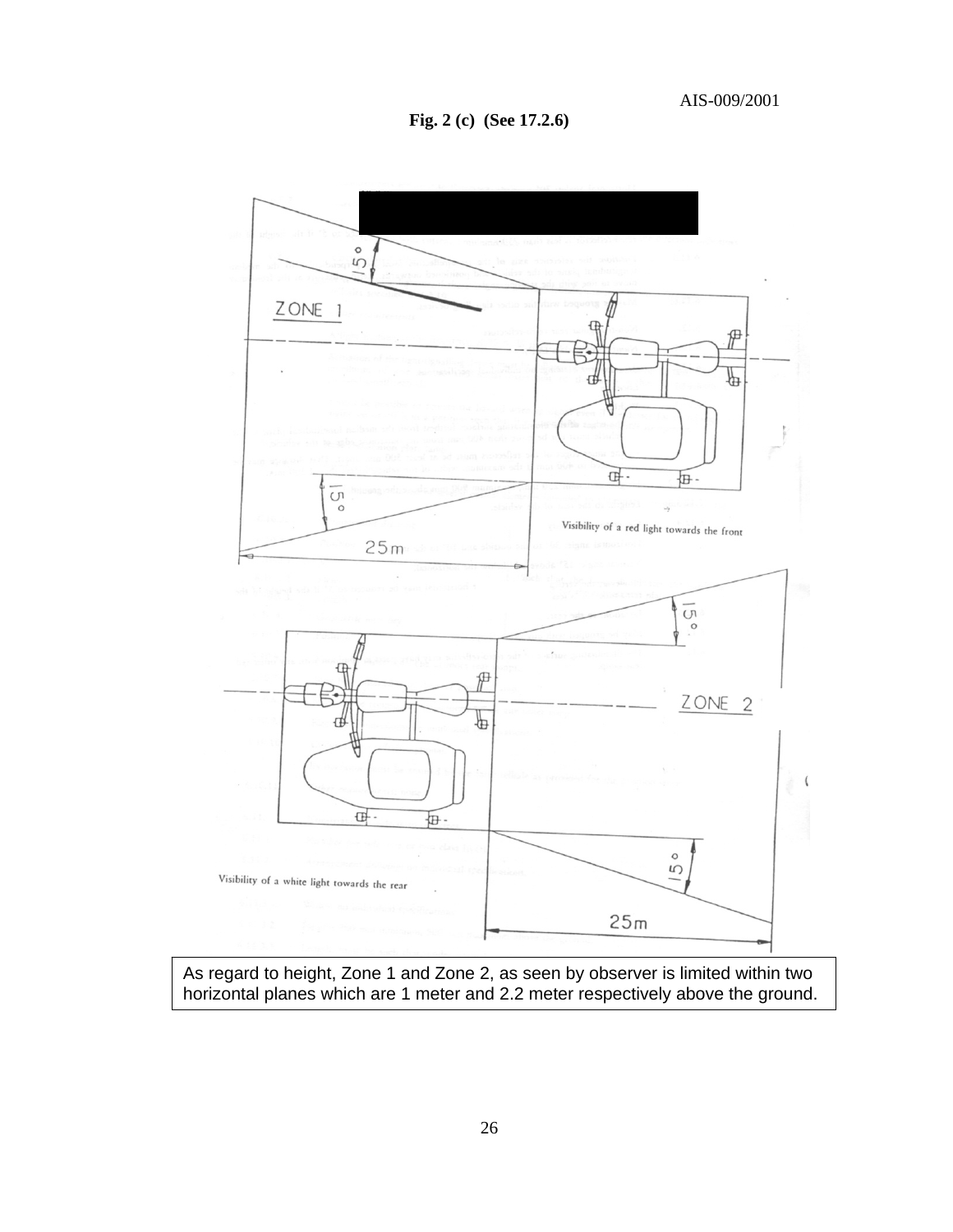**Fig. 2 (c) (See 17.2.6)**



As regard to height, Zone 1 and Zone 2, as seen by observer is limited within two horizontal planes which are 1 meter and 2.2 meter respectively above the ground.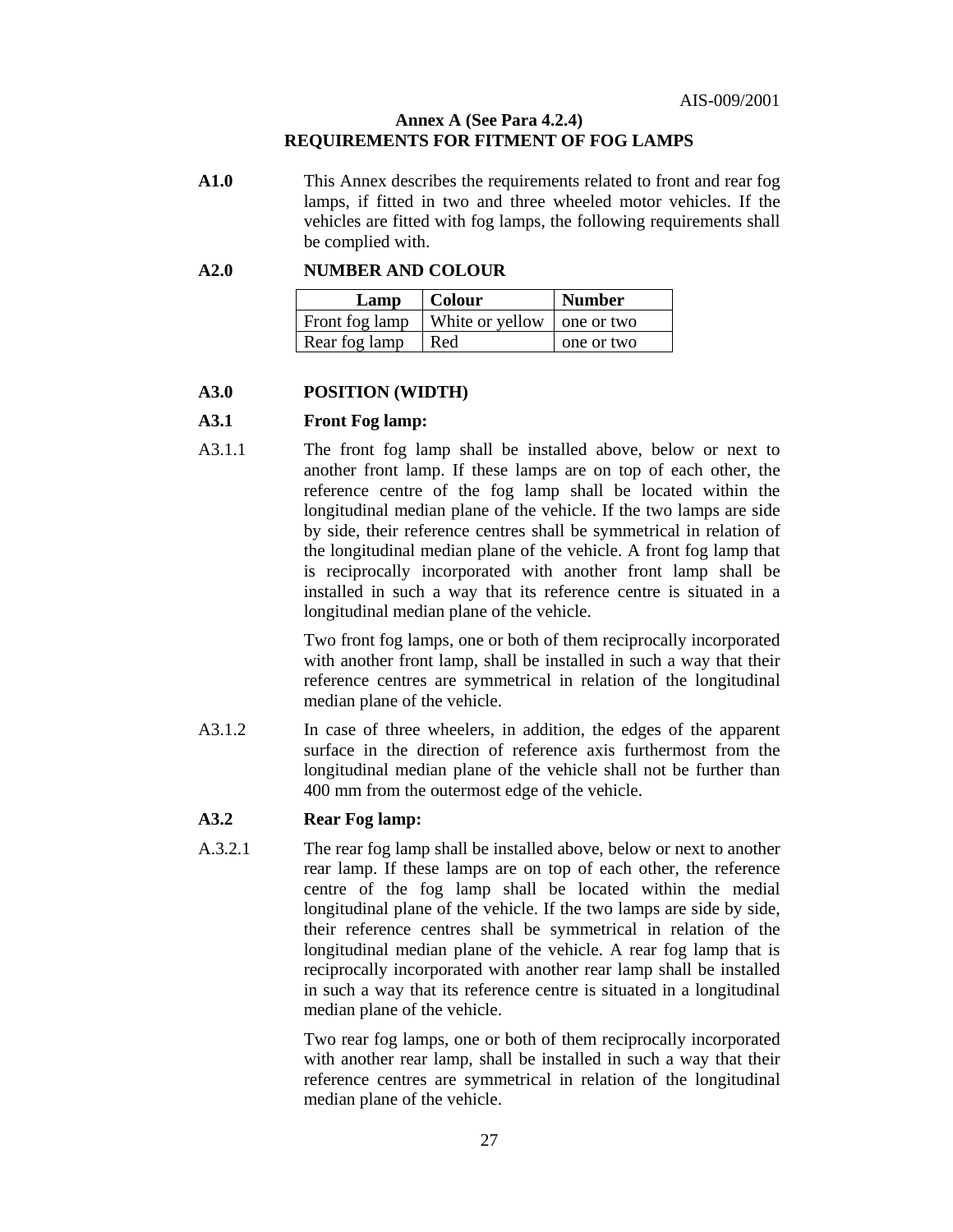#### **Annex A (See Para 4.2.4) REQUIREMENTS FOR FITMENT OF FOG LAMPS**

**A1.0** This Annex describes the requirements related to front and rear fog lamps, if fitted in two and three wheeled motor vehicles. If the vehicles are fitted with fog lamps, the following requirements shall be complied with.

#### **A2.0 NUMBER AND COLOUR**

| Lamp           | Colour                       | <b>Number</b> |
|----------------|------------------------------|---------------|
| Front fog lamp | White or yellow   one or two |               |
| Rear fog lamp  | Red                          | one or two    |

#### **A3.0 POSITION (WIDTH)**

#### **A3.1 Front Fog lamp:**

A3.1.1The front fog lamp shall be installed above, below or next to another front lamp. If these lamps are on top of each other, the reference centre of the fog lamp shall be located within the longitudinal median plane of the vehicle. If the two lamps are side by side, their reference centres shall be symmetrical in relation of the longitudinal median plane of the vehicle. A front fog lamp that is reciprocally incorporated with another front lamp shall be installed in such a way that its reference centre is situated in a longitudinal median plane of the vehicle.

> Two front fog lamps, one or both of them reciprocally incorporated with another front lamp, shall be installed in such a way that their reference centres are symmetrical in relation of the longitudinal median plane of the vehicle.

A3.1.2In case of three wheelers, in addition, the edges of the apparent surface in the direction of reference axis furthermost from the longitudinal median plane of the vehicle shall not be further than 400 mm from the outermost edge of the vehicle.

#### **A3.2 Rear Fog lamp:**

A.3.2.1The rear fog lamp shall be installed above, below or next to another rear lamp. If these lamps are on top of each other, the reference centre of the fog lamp shall be located within the medial longitudinal plane of the vehicle. If the two lamps are side by side, their reference centres shall be symmetrical in relation of the longitudinal median plane of the vehicle. A rear fog lamp that is reciprocally incorporated with another rear lamp shall be installed in such a way that its reference centre is situated in a longitudinal median plane of the vehicle.

> Two rear fog lamps, one or both of them reciprocally incorporated with another rear lamp, shall be installed in such a way that their reference centres are symmetrical in relation of the longitudinal median plane of the vehicle.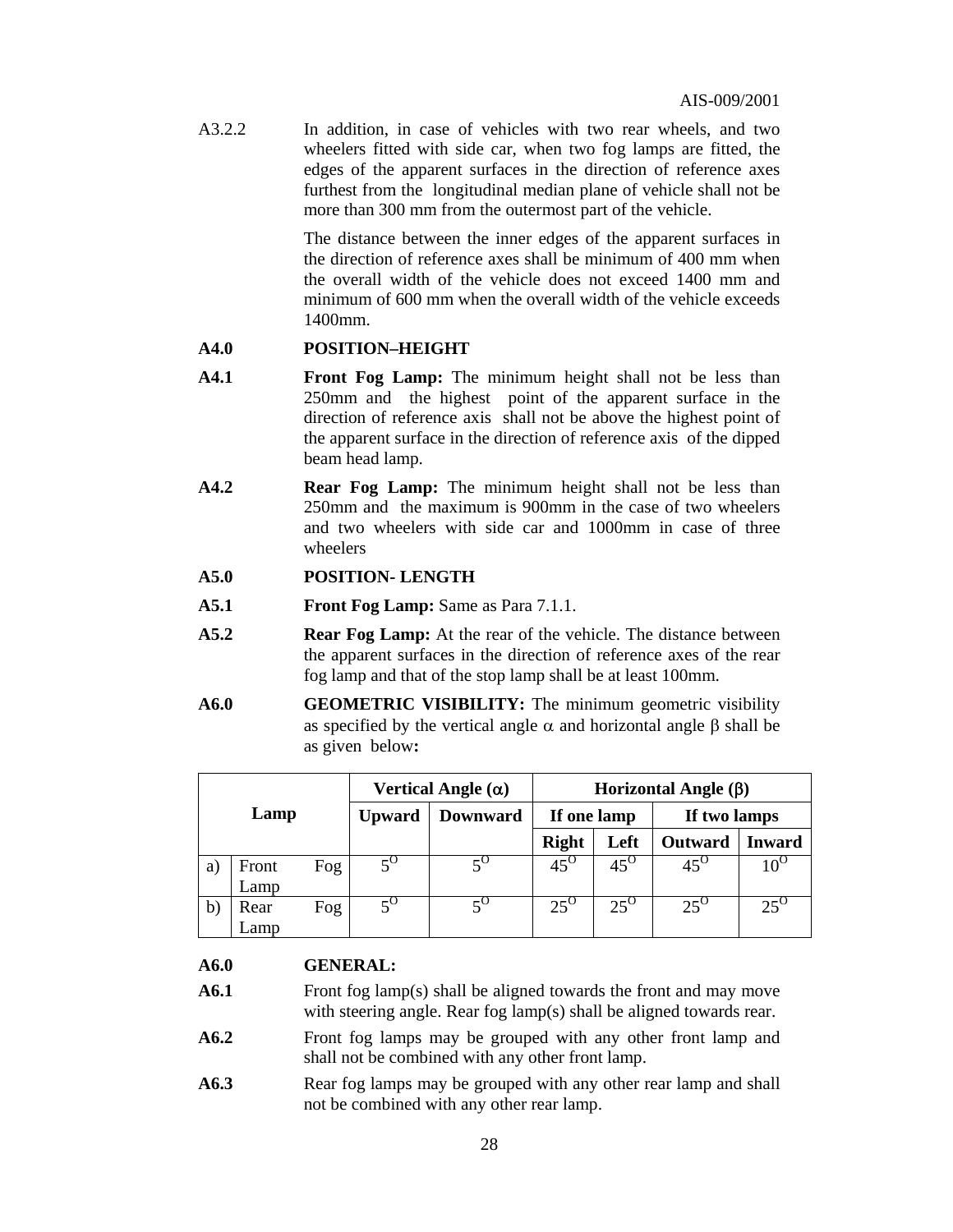A3.2.2In addition, in case of vehicles with two rear wheels, and two wheelers fitted with side car, when two fog lamps are fitted, the edges of the apparent surfaces in the direction of reference axes furthest from the longitudinal median plane of vehicle shall not be more than 300 mm from the outermost part of the vehicle.

> The distance between the inner edges of the apparent surfaces in the direction of reference axes shall be minimum of 400 mm when the overall width of the vehicle does not exceed 1400 mm and minimum of 600 mm when the overall width of the vehicle exceeds 1400mm.

#### **A4.0 POSITION–HEIGHT**

- **A4.1 Front Fog Lamp:** The minimum height shall not be less than 250mm and the highest point of the apparent surface in the direction of reference axis shall not be above the highest point of the apparent surface in the direction of reference axis of the dipped beam head lamp.
- **A4.2 Rear Fog Lamp:** The minimum height shall not be less than 250mm and the maximum is 900mm in the case of two wheelers and two wheelers with side car and 1000mm in case of three wheelers

#### **A5.0 POSITION- LENGTH**

- **A5.1 Front Fog Lamp:** Same as Para 7.1.1.
- **A5.2 Rear Fog Lamp:** At the rear of the vehicle. The distance between the apparent surfaces in the direction of reference axes of the rear fog lamp and that of the stop lamp shall be at least 100mm.
- **A6.0 GEOMETRIC VISIBILITY:** The minimum geometric visibility as specified by the vertical angle  $\alpha$  and horizontal angle  $\beta$  shall be as given below**:**

|              |       | Vertical Angle $(\alpha)$ |                 | Horizontal Angle $(\beta)$ |              |              |              |               |
|--------------|-------|---------------------------|-----------------|----------------------------|--------------|--------------|--------------|---------------|
| Lamp         |       | <b>Upward</b>             | <b>Downward</b> | If one lamp                |              | If two lamps |              |               |
|              |       |                           |                 |                            | <b>Right</b> | Left         | Outward      | <b>Inward</b> |
| a)           | Front | Fog                       | $5^{\circ}$     |                            | $45^{\circ}$ | $45^\circ$   | $45^{\circ}$ |               |
|              | Lamp  |                           |                 |                            |              |              |              |               |
| $\mathbf{b}$ | Rear  | Fog                       |                 |                            | $25^\circ$   | $25^{\circ}$ | $25^{\circ}$ | $25^{\circ}$  |
|              | Lamp  |                           |                 |                            |              |              |              |               |

#### **A6.0 GENERAL:**

- **A6.1** Front fog lamp(s) shall be aligned towards the front and may move with steering angle. Rear fog lamp(s) shall be aligned towards rear.
- **A6.2** Front fog lamps may be grouped with any other front lamp and shall not be combined with any other front lamp.
- A6.3 **Rear fog lamps may be grouped with any other rear lamp and shall** not be combined with any other rear lamp.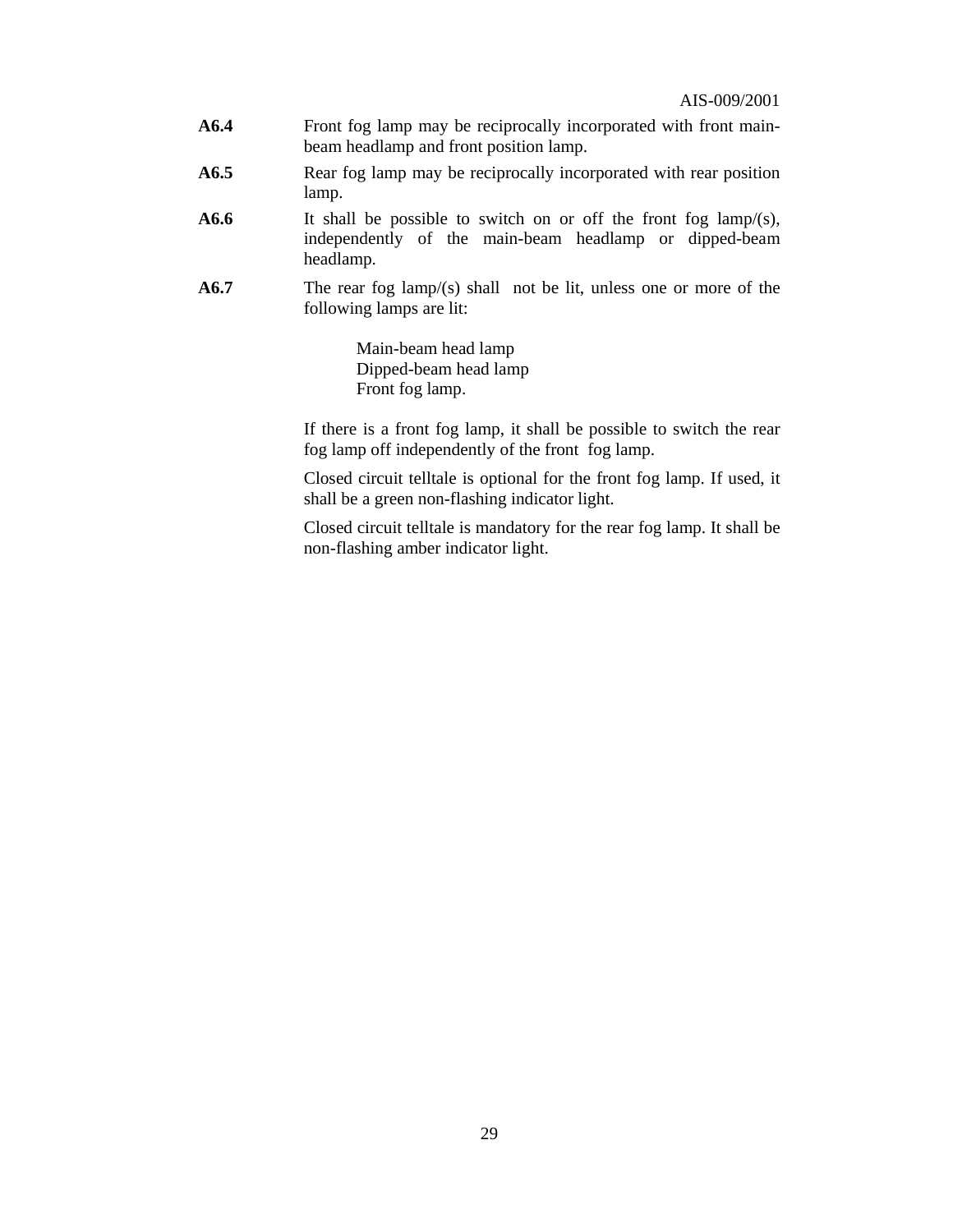- **A6.4** Front fog lamp may be reciprocally incorporated with front mainbeam headlamp and front position lamp.
- **A6.5** Rear fog lamp may be reciprocally incorporated with rear position lamp.
- **A6.6** It shall be possible to switch on or off the front fog lamp/(s), independently of the main-beam headlamp or dipped-beam headlamp.
- **A6.7** The rear fog lamp/(s) shall not be lit, unless one or more of the following lamps are lit:

Main-beam head lamp Dipped-beam head lamp Front fog lamp.

 If there is a front fog lamp, it shall be possible to switch the rear fog lamp off independently of the front fog lamp.

Closed circuit telltale is optional for the front fog lamp. If used, it shall be a green non-flashing indicator light.

Closed circuit telltale is mandatory for the rear fog lamp. It shall be non-flashing amber indicator light.